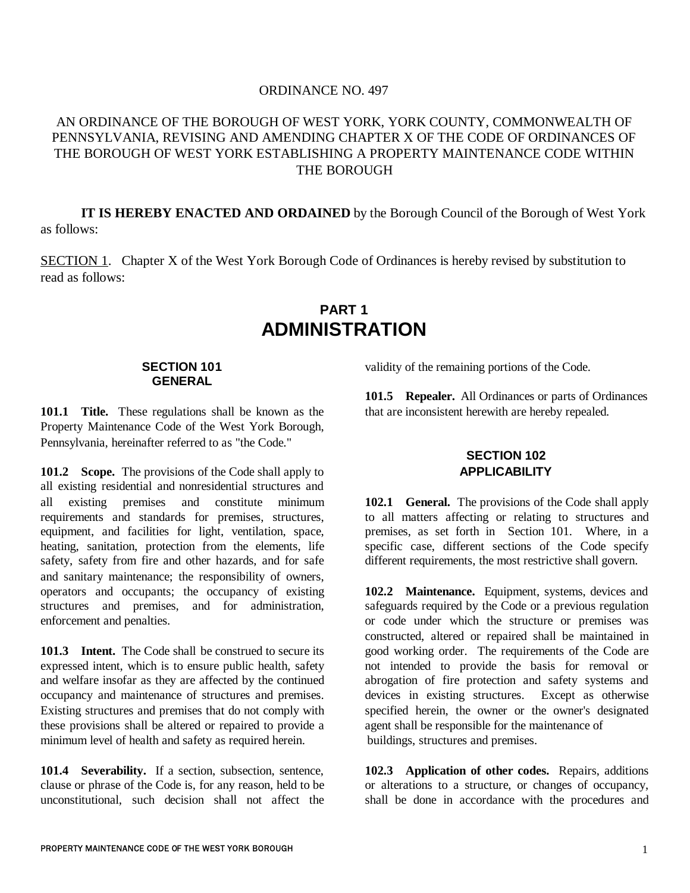# ORDINANCE NO. 497

# AN ORDINANCE OF THE BOROUGH OF WEST YORK, YORK COUNTY, COMMONWEALTH OF PENNSYLVANIA, REVISING AND AMENDING CHAPTER X OF THE CODE OF ORDINANCES OF THE BOROUGH OF WEST YORK ESTABLISHING A PROPERTY MAINTENANCE CODE WITHIN THE BOROUGH

**IT IS HEREBY ENACTED AND ORDAINED** by the Borough Council of the Borough of West York as follows:

SECTION 1. Chapter X of the West York Borough Code of Ordinances is hereby revised by substitution to read as follows:

# **PART 1 ADMINISTRATION**

#### **SECTION 101 GENERAL**

**101.1 Title.** These regulations shall be known as the Property Maintenance Code of the West York Borough, Pennsylvania, hereinafter referred to as "the Code."

**101.2 Scope.** The provisions of the Code shall apply to all existing residential and nonresidential structures and all existing premises and constitute minimum requirements and standards for premises, structures, equipment, and facilities for light, ventilation, space, heating, sanitation, protection from the elements, life safety, safety from fire and other hazards, and for safe and sanitary maintenance; the responsibility of owners, operators and occupants; the occupancy of existing structures and premises, and for administration, enforcement and penalties.

**101.3 Intent.** The Code shall be construed to secure its expressed intent, which is to ensure public health, safety and welfare insofar as they are affected by the continued occupancy and maintenance of structures and premises. Existing structures and premises that do not comply with these provisions shall be altered or repaired to provide a minimum level of health and safety as required herein.

**101.4 Severability.** If a section, subsection, sentence, clause or phrase of the Code is, for any reason, held to be unconstitutional, such decision shall not affect the

validity of the remaining portions of the Code.

**101.5 Repealer.** All Ordinances or parts of Ordinances that are inconsistent herewith are hereby repealed.

# **SECTION 102 APPLICABILITY**

**102.1 General.** The provisions of the Code shall apply to all matters affecting or relating to structures and premises, as set forth in Section 101. Where, in a specific case, different sections of the Code specify different requirements, the most restrictive shall govern.

**102.2 Maintenance.** Equipment, systems, devices and safeguards required by the Code or a previous regulation or code under which the structure or premises was constructed, altered or repaired shall be maintained in good working order. The requirements of the Code are not intended to provide the basis for removal or abrogation of fire protection and safety systems and devices in existing structures. Except as otherwise specified herein, the owner or the owner's designated agent shall be responsible for the maintenance of buildings, structures and premises.

**102.3 Application of other codes.** Repairs, additions or alterations to a structure, or changes of occupancy, shall be done in accordance with the procedures and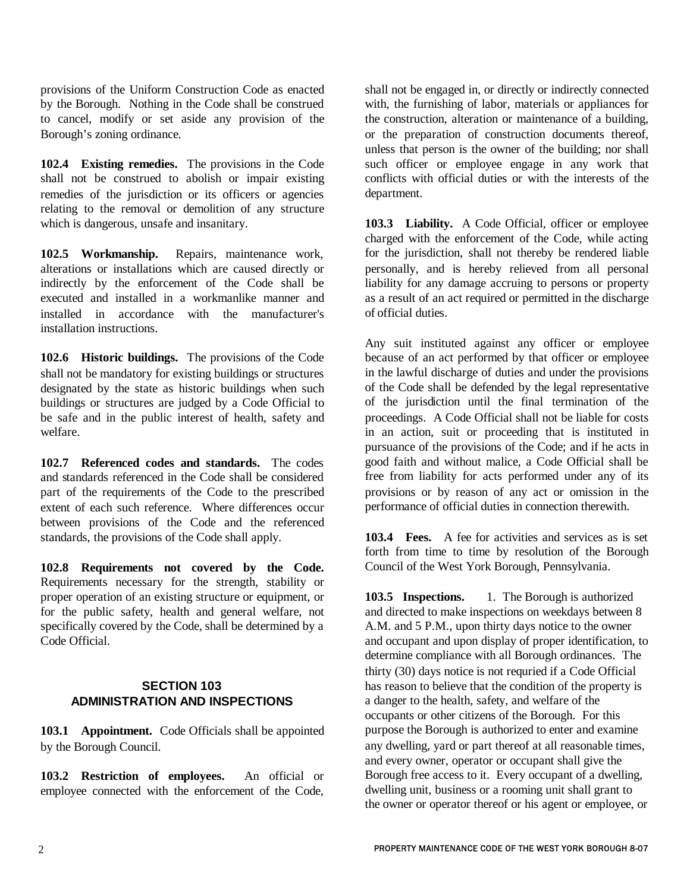provisions of the Uniform Construction Code as enacted by the Borough. Nothing in the Code shall be construed to cancel, modify or set aside any provision of the Borough's zoning ordinance.

**102.4 Existing remedies.** The provisions in the Code shall not be construed to abolish or impair existing remedies of the jurisdiction or its officers or agencies relating to the removal or demolition of any structure which is dangerous, unsafe and insanitary.

**102.5 Workmanship.** Repairs, maintenance work, alterations or installations which are caused directly or indirectly by the enforcement of the Code shall be executed and installed in a workmanlike manner and installed in accordance with the manufacturer's installation instructions.

**102.6 Historic buildings.** The provisions of the Code shall not be mandatory for existing buildings or structures designated by the state as historic buildings when such buildings or structures are judged by a Code Official to be safe and in the public interest of health, safety and welfare.

**102.7 Referenced codes and standards.** The codes and standards referenced in the Code shall be considered part of the requirements of the Code to the prescribed extent of each such reference. Where differences occur between provisions of the Code and the referenced standards, the provisions of the Code shall apply.

**102.8 Requirements not covered by the Code.** Requirements necessary for the strength, stability or proper operation of an existing structure or equipment, or for the public safety, health and general welfare, not specifically covered by the Code, shall be determined by a Code Official.

# **SECTION 103 ADMINISTRATION AND INSPECTIONS**

**103.1 Appointment.** Code Officials shall be appointed by the Borough Council.

**103.2 Restriction of employees.** An official or employee connected with the enforcement of the Code, shall not be engaged in, or directly or indirectly connected with, the furnishing of labor, materials or appliances for the construction, alteration or maintenance of a building, or the preparation of construction documents thereof, unless that person is the owner of the building; nor shall such officer or employee engage in any work that conflicts with official duties or with the interests of the department.

**103.3 Liability.** A Code Official, officer or employee charged with the enforcement of the Code, while acting for the jurisdiction, shall not thereby be rendered liable personally, and is hereby relieved from all personal liability for any damage accruing to persons or property as a result of an act required or permitted in the discharge of official duties.

Any suit instituted against any officer or employee because of an act performed by that officer or employee in the lawful discharge of duties and under the provisions of the Code shall be defended by the legal representative of the jurisdiction until the final termination of the proceedings. A Code Official shall not be liable for costs in an action, suit or proceeding that is instituted in pursuance of the provisions of the Code; and if he acts in good faith and without malice, a Code Official shall be free from liability for acts performed under any of its provisions or by reason of any act or omission in the performance of official duties in connection therewith.

**103.4 Fees.** A fee for activities and services as is set forth from time to time by resolution of the Borough Council of the West York Borough, Pennsylvania.

**103.5 Inspections.** 1. The Borough is authorized and directed to make inspections on weekdays between 8 A.M. and 5 P.M., upon thirty days notice to the owner and occupant and upon display of proper identification, to determine compliance with all Borough ordinances. The thirty (30) days notice is not requried if a Code Official has reason to believe that the condition of the property is a danger to the health, safety, and welfare of the occupants or other citizens of the Borough. For this purpose the Borough is authorized to enter and examine any dwelling, yard or part thereof at all reasonable times, and every owner, operator or occupant shall give the Borough free access to it. Every occupant of a dwelling, dwelling unit, business or a rooming unit shall grant to the owner or operator thereof or his agent or employee, or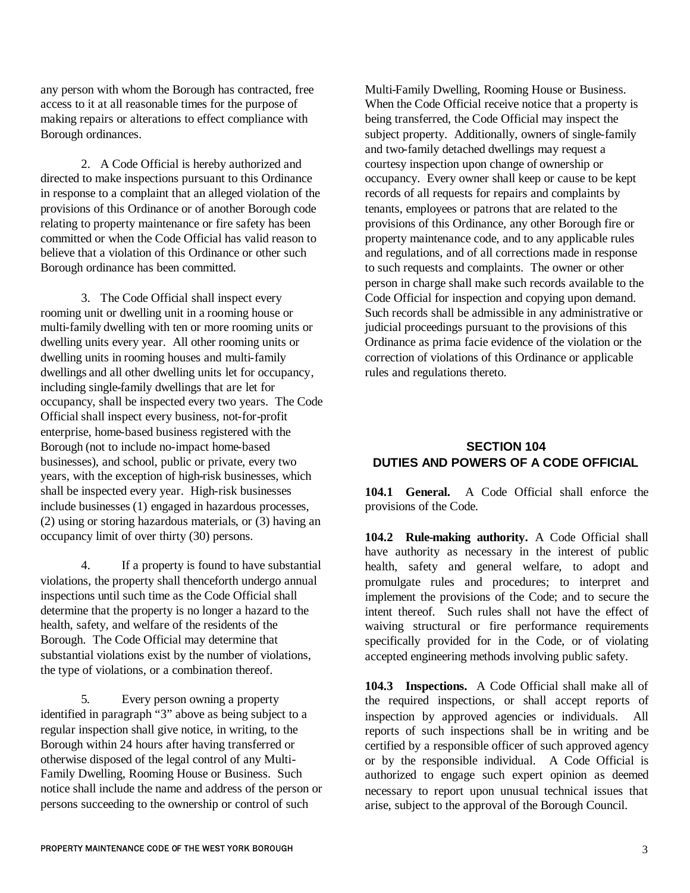any person with whom the Borough has contracted, free access to it at all reasonable times for the purpose of making repairs or alterations to effect compliance with Borough ordinances.

2. A Code Official is hereby authorized and directed to make inspections pursuant to this Ordinance in response to a complaint that an alleged violation of the provisions of this Ordinance or of another Borough code relating to property maintenance or fire safety has been committed or when the Code Official has valid reason to believe that a violation of this Ordinance or other such Borough ordinance has been committed.

3. The Code Official shall inspect every rooming unit or dwelling unit in a rooming house or multi-family dwelling with ten or more rooming units or dwelling units every year. All other rooming units or dwelling units in rooming houses and multi-family dwellings and all other dwelling units let for occupancy, including single-family dwellings that are let for occupancy, shall be inspected every two years. The Code Official shall inspect every business, not-for-profit enterprise, home-based business registered with the Borough (not to include no-impact home-based businesses), and school, public or private, every two years, with the exception of high-risk businesses, which shall be inspected every year. High-risk businesses include businesses (1) engaged in hazardous processes, (2) using or storing hazardous materials, or (3) having an occupancy limit of over thirty (30) persons.

4. If a property is found to have substantial violations, the property shall thenceforth undergo annual inspections until such time as the Code Official shall determine that the property is no longer a hazard to the health, safety, and welfare of the residents of the Borough. The Code Official may determine that substantial violations exist by the number of violations, the type of violations, or a combination thereof.

5. Every person owning a property identified in paragraph "3" above as being subject to a regular inspection shall give notice, in writing, to the Borough within 24 hours after having transferred or otherwise disposed of the legal control of any Multi-Family Dwelling, Rooming House or Business. Such notice shall include the name and address of the person or persons succeeding to the ownership or control of such

Multi-Family Dwelling, Rooming House or Business. When the Code Official receive notice that a property is being transferred, the Code Official may inspect the subject property. Additionally, owners of single-family and two-family detached dwellings may request a courtesy inspection upon change of ownership or occupancy. Every owner shall keep or cause to be kept records of all requests for repairs and complaints by tenants, employees or patrons that are related to the provisions of this Ordinance, any other Borough fire or property maintenance code, and to any applicable rules and regulations, and of all corrections made in response to such requests and complaints. The owner or other person in charge shall make such records available to the Code Official for inspection and copying upon demand. Such records shall be admissible in any administrative or judicial proceedings pursuant to the provisions of this Ordinance as prima facie evidence of the violation or the correction of violations of this Ordinance or applicable rules and regulations thereto.

# **SECTION 104 DUTIES AND POWERS OF A CODE OFFICIAL**

**104.1 General.** A Code Official shall enforce the provisions of the Code.

**104.2 Rule-making authority.** A Code Official shall have authority as necessary in the interest of public health, safety and general welfare, to adopt and promulgate rules and procedures; to interpret and implement the provisions of the Code; and to secure the intent thereof. Such rules shall not have the effect of waiving structural or fire performance requirements specifically provided for in the Code, or of violating accepted engineering methods involving public safety.

**104.3 Inspections.** A Code Official shall make all of the required inspections, or shall accept reports of inspection by approved agencies or individuals. All reports of such inspections shall be in writing and be certified by a responsible officer of such approved agency or by the responsible individual. A Code Official is authorized to engage such expert opinion as deemed necessary to report upon unusual technical issues that arise, subject to the approval of the Borough Council.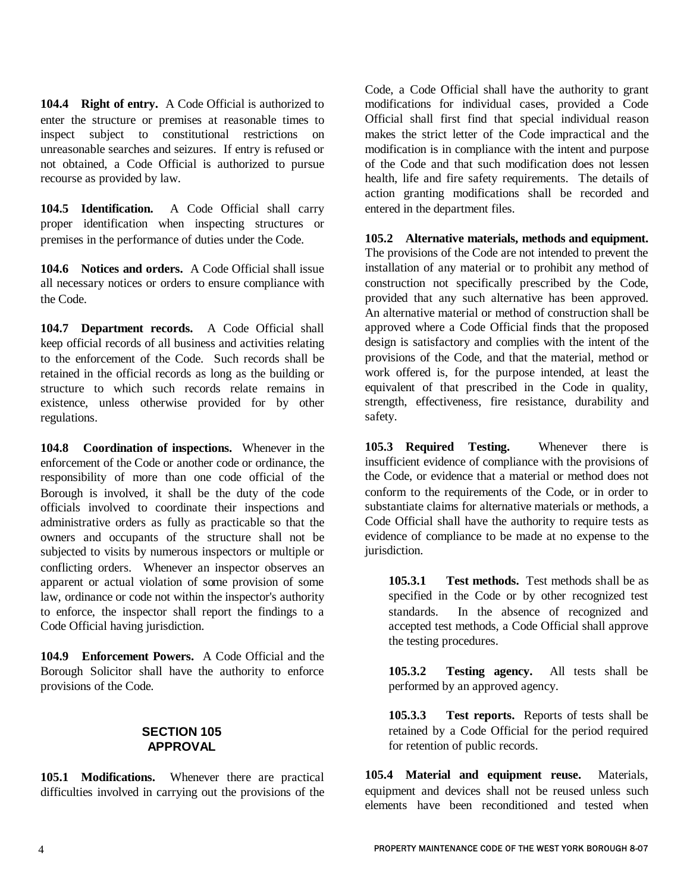**104.4 Right of entry.** A Code Official is authorized to enter the structure or premises at reasonable times to inspect subject to constitutional restrictions on unreasonable searches and seizures. If entry is refused or not obtained, a Code Official is authorized to pursue recourse as provided by law.

**104.5 Identification.** A Code Official shall carry proper identification when inspecting structures or premises in the performance of duties under the Code.

**104.6 Notices and orders.** A Code Official shall issue all necessary notices or orders to ensure compliance with the Code.

**104.7 Department records.** A Code Official shall keep official records of all business and activities relating to the enforcement of the Code. Such records shall be retained in the official records as long as the building or structure to which such records relate remains in existence, unless otherwise provided for by other regulations.

**104.8 Coordination of inspections.** Whenever in the enforcement of the Code or another code or ordinance, the responsibility of more than one code official of the Borough is involved, it shall be the duty of the code officials involved to coordinate their inspections and administrative orders as fully as practicable so that the owners and occupants of the structure shall not be subjected to visits by numerous inspectors or multiple or conflicting orders. Whenever an inspector observes an apparent or actual violation of some provision of some law, ordinance or code not within the inspector's authority to enforce, the inspector shall report the findings to a Code Official having jurisdiction.

**104.9 Enforcement Powers.** A Code Official and the Borough Solicitor shall have the authority to enforce provisions of the Code.

## **SECTION 105 APPROVAL**

**105.1 Modifications.** Whenever there are practical difficulties involved in carrying out the provisions of the Code, a Code Official shall have the authority to grant modifications for individual cases, provided a Code Official shall first find that special individual reason makes the strict letter of the Code impractical and the modification is in compliance with the intent and purpose of the Code and that such modification does not lessen health, life and fire safety requirements. The details of action granting modifications shall be recorded and entered in the department files.

**105.2 Alternative materials, methods and equipment.** The provisions of the Code are not intended to prevent the installation of any material or to prohibit any method of construction not specifically prescribed by the Code, provided that any such alternative has been approved. An alternative material or method of construction shall be approved where a Code Official finds that the proposed design is satisfactory and complies with the intent of the provisions of the Code, and that the material, method or work offered is, for the purpose intended, at least the equivalent of that prescribed in the Code in quality, strength, effectiveness, fire resistance, durability and safety.

**105.3 Required Testing.** Whenever there is insufficient evidence of compliance with the provisions of the Code, or evidence that a material or method does not conform to the requirements of the Code, or in order to substantiate claims for alternative materials or methods, a Code Official shall have the authority to require tests as evidence of compliance to be made at no expense to the jurisdiction.

**105.3.1 Test methods.** Test methods shall be as specified in the Code or by other recognized test standards. In the absence of recognized and accepted test methods, a Code Official shall approve the testing procedures.

**105.3.2 Testing agency.** All tests shall be performed by an approved agency.

**105.3.3 Test reports.** Reports of tests shall be retained by a Code Official for the period required for retention of public records.

**105.4 Material and equipment reuse.** Materials, equipment and devices shall not be reused unless such elements have been reconditioned and tested when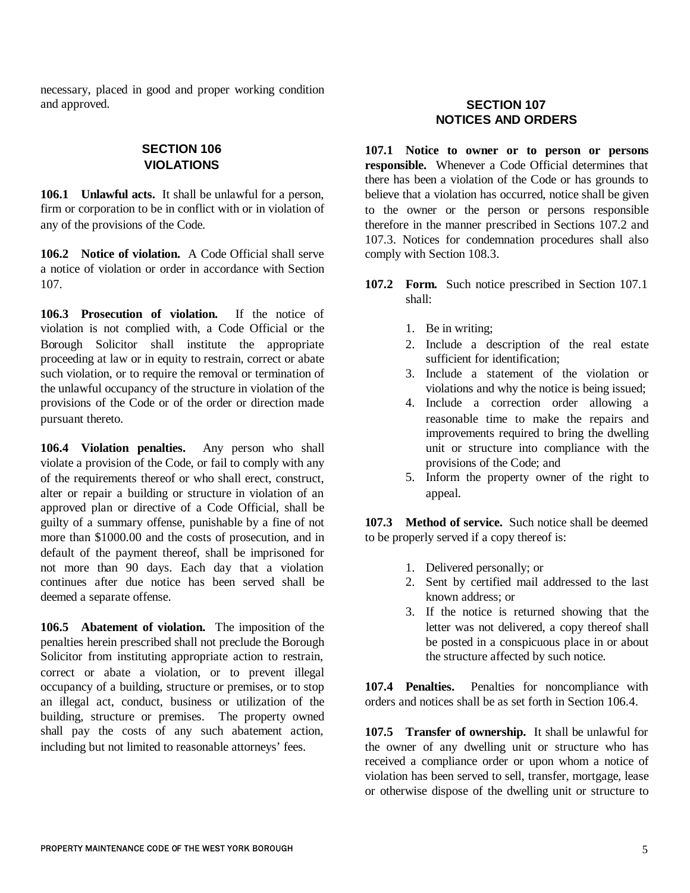necessary, placed in good and proper working condition and approved.

### **SECTION 106 VIOLATIONS**

**106.1 Unlawful acts.** It shall be unlawful for a person, firm or corporation to be in conflict with or in violation of any of the provisions of the Code.

**106.2 Notice of violation.** A Code Official shall serve a notice of violation or order in accordance with Section 107.

**106.3 Prosecution of violation.** If the notice of violation is not complied with, a Code Official or the Borough Solicitor shall institute the appropriate proceeding at law or in equity to restrain, correct or abate such violation, or to require the removal or termination of the unlawful occupancy of the structure in violation of the provisions of the Code or of the order or direction made pursuant thereto.

**106.4 Violation penalties.** Any person who shall violate a provision of the Code, or fail to comply with any of the requirements thereof or who shall erect, construct, alter or repair a building or structure in violation of an approved plan or directive of a Code Official, shall be guilty of a summary offense, punishable by a fine of not more than \$1000.00 and the costs of prosecution, and in default of the payment thereof, shall be imprisoned for not more than 90 days. Each day that a violation continues after due notice has been served shall be deemed a separate offense.

**106.5 Abatement of violation.** The imposition of the penalties herein prescribed shall not preclude the Borough Solicitor from instituting appropriate action to restrain, correct or abate a violation, or to prevent illegal occupancy of a building, structure or premises, or to stop an illegal act, conduct, business or utilization of the building, structure or premises. The property owned shall pay the costs of any such abatement action, including but not limited to reasonable attorneys' fees.

# **SECTION 107 NOTICES AND ORDERS**

**107.1 Notice to owner or to person or persons responsible.** Whenever a Code Official determines that there has been a violation of the Code or has grounds to believe that a violation has occurred, notice shall be given to the owner or the person or persons responsible therefore in the manner prescribed in Sections 107.2 and 107.3. Notices for condemnation procedures shall also comply with Section 108.3.

- **107.2 Form.** Such notice prescribed in Section 107.1 shall:
	- 1. Be in writing;
	- 2. Include a description of the real estate sufficient for identification;
	- 3. Include a statement of the violation or violations and why the notice is being issued;
	- 4. Include a correction order allowing a reasonable time to make the repairs and improvements required to bring the dwelling unit or structure into compliance with the provisions of the Code; and
	- 5. Inform the property owner of the right to appeal.

**107.3 Method of service.** Such notice shall be deemed to be properly served if a copy thereof is:

- 1. Delivered personally; or
- 2. Sent by certified mail addressed to the last known address; or
- 3. If the notice is returned showing that the letter was not delivered, a copy thereof shall be posted in a conspicuous place in or about the structure affected by such notice.

**107.4 Penalties.** Penalties for noncompliance with orders and notices shall be as set forth in Section 106.4.

**107.5 Transfer of ownership.** It shall be unlawful for the owner of any dwelling unit or structure who has received a compliance order or upon whom a notice of violation has been served to sell, transfer, mortgage, lease or otherwise dispose of the dwelling unit or structure to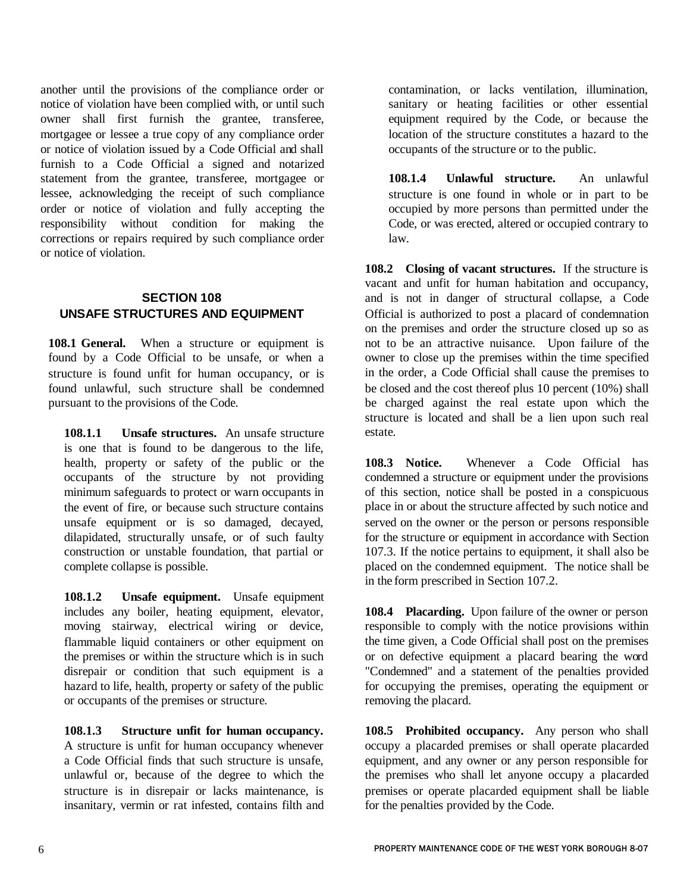another until the provisions of the compliance order or notice of violation have been complied with, or until such owner shall first furnish the grantee, transferee, mortgagee or lessee a true copy of any compliance order or notice of violation issued by a Code Official and shall furnish to a Code Official a signed and notarized statement from the grantee, transferee, mortgagee or lessee, acknowledging the receipt of such compliance order or notice of violation and fully accepting the responsibility without condition for making the corrections or repairs required by such compliance order or notice of violation.

# **SECTION 108 UNSAFE STRUCTURES AND EQUIPMENT**

**108.1 General.** When a structure or equipment is found by a Code Official to be unsafe, or when a structure is found unfit for human occupancy, or is found unlawful, such structure shall be condemned pursuant to the provisions of the Code.

**108.1.1 Unsafe structures.** An unsafe structure is one that is found to be dangerous to the life, health, property or safety of the public or the occupants of the structure by not providing minimum safeguards to protect or warn occupants in the event of fire, or because such structure contains unsafe equipment or is so damaged, decayed, dilapidated, structurally unsafe, or of such faulty construction or unstable foundation, that partial or complete collapse is possible.

**108.1.2 Unsafe equipment.** Unsafe equipment includes any boiler, heating equipment, elevator, moving stairway, electrical wiring or device, flammable liquid containers or other equipment on the premises or within the structure which is in such disrepair or condition that such equipment is a hazard to life, health, property or safety of the public or occupants of the premises or structure.

**108.1.3 Structure unfit for human occupancy.** A structure is unfit for human occupancy whenever a Code Official finds that such structure is unsafe, unlawful or, because of the degree to which the structure is in disrepair or lacks maintenance, is insanitary, vermin or rat infested, contains filth and

contamination, or lacks ventilation, illumination, sanitary or heating facilities or other essential equipment required by the Code, or because the location of the structure constitutes a hazard to the occupants of the structure or to the public.

**108.1.4 Unlawful structure.** An unlawful structure is one found in whole or in part to be occupied by more persons than permitted under the Code, or was erected, altered or occupied contrary to law.

**108.2 Closing of vacant structures.** If the structure is vacant and unfit for human habitation and occupancy, and is not in danger of structural collapse, a Code Official is authorized to post a placard of condemnation on the premises and order the structure closed up so as not to be an attractive nuisance. Upon failure of the owner to close up the premises within the time specified in the order, a Code Official shall cause the premises to be closed and the cost thereof plus 10 percent (10%) shall be charged against the real estate upon which the structure is located and shall be a lien upon such real estate.

**108.3 Notice.** Whenever a Code Official has condemned a structure or equipment under the provisions of this section, notice shall be posted in a conspicuous place in or about the structure affected by such notice and served on the owner or the person or persons responsible for the structure or equipment in accordance with Section 107.3. If the notice pertains to equipment, it shall also be placed on the condemned equipment. The notice shall be in the form prescribed in Section 107.2.

**108.4 Placarding.** Upon failure of the owner or person responsible to comply with the notice provisions within the time given, a Code Official shall post on the premises or on defective equipment a placard bearing the word "Condemned" and a statement of the penalties provided for occupying the premises, operating the equipment or removing the placard.

**108.5 Prohibited occupancy.** Any person who shall occupy a placarded premises or shall operate placarded equipment, and any owner or any person responsible for the premises who shall let anyone occupy a placarded premises or operate placarded equipment shall be liable for the penalties provided by the Code.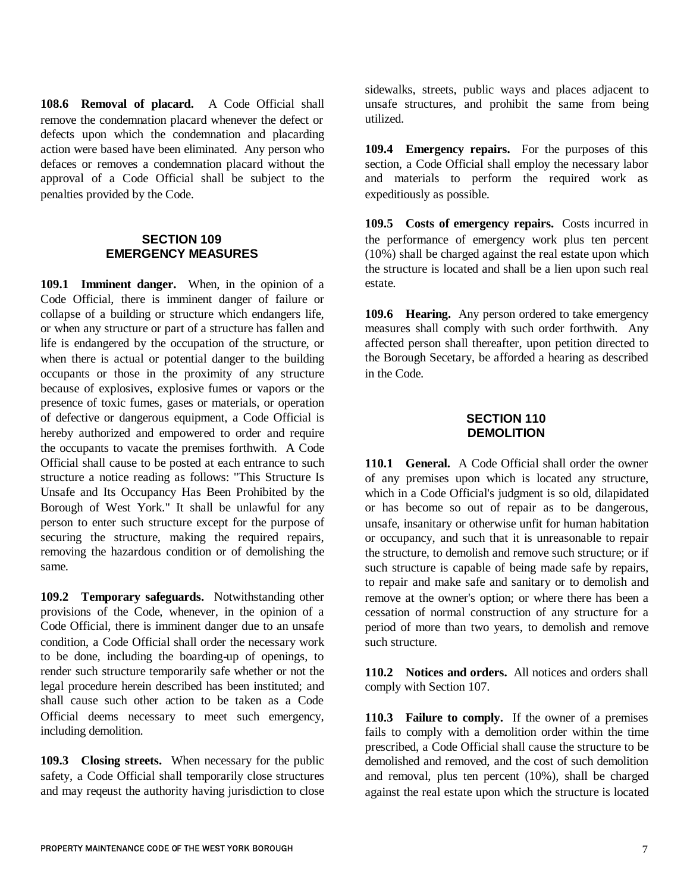**108.6 Removal of placard.** A Code Official shall remove the condemnation placard whenever the defect or defects upon which the condemnation and placarding action were based have been eliminated. Any person who defaces or removes a condemnation placard without the approval of a Code Official shall be subject to the penalties provided by the Code.

#### **SECTION 109 EMERGENCY MEASURES**

**109.1 Imminent danger.** When, in the opinion of a Code Official, there is imminent danger of failure or collapse of a building or structure which endangers life, or when any structure or part of a structure has fallen and life is endangered by the occupation of the structure, or when there is actual or potential danger to the building occupants or those in the proximity of any structure because of explosives, explosive fumes or vapors or the presence of toxic fumes, gases or materials, or operation of defective or dangerous equipment, a Code Official is hereby authorized and empowered to order and require the occupants to vacate the premises forthwith. A Code Official shall cause to be posted at each entrance to such structure a notice reading as follows: "This Structure Is Unsafe and Its Occupancy Has Been Prohibited by the Borough of West York." It shall be unlawful for any person to enter such structure except for the purpose of securing the structure, making the required repairs, removing the hazardous condition or of demolishing the same.

**109.2 Temporary safeguards.** Notwithstanding other provisions of the Code, whenever, in the opinion of a Code Official, there is imminent danger due to an unsafe condition, a Code Official shall order the necessary work to be done, including the boarding-up of openings, to render such structure temporarily safe whether or not the legal procedure herein described has been instituted; and shall cause such other action to be taken as a Code Official deems necessary to meet such emergency, including demolition.

**109.3 Closing streets.** When necessary for the public safety, a Code Official shall temporarily close structures and may reqeust the authority having jurisdiction to close sidewalks, streets, public ways and places adjacent to unsafe structures, and prohibit the same from being utilized.

**109.4 Emergency repairs.** For the purposes of this section, a Code Official shall employ the necessary labor and materials to perform the required work as expeditiously as possible.

**109.5 Costs of emergency repairs.** Costs incurred in the performance of emergency work plus ten percent (10%) shall be charged against the real estate upon which the structure is located and shall be a lien upon such real estate.

**109.6 Hearing.** Any person ordered to take emergency measures shall comply with such order forthwith. Any affected person shall thereafter, upon petition directed to the Borough Secetary, be afforded a hearing as described in the Code.

#### **SECTION 110 DEMOLITION**

**110.1 General.** A Code Official shall order the owner of any premises upon which is located any structure, which in a Code Official's judgment is so old, dilapidated or has become so out of repair as to be dangerous, unsafe, insanitary or otherwise unfit for human habitation or occupancy, and such that it is unreasonable to repair the structure, to demolish and remove such structure; or if such structure is capable of being made safe by repairs, to repair and make safe and sanitary or to demolish and remove at the owner's option; or where there has been a cessation of normal construction of any structure for a period of more than two years, to demolish and remove such structure.

**110.2 Notices and orders.** All notices and orders shall comply with Section 107.

**110.3 Failure to comply.** If the owner of a premises fails to comply with a demolition order within the time prescribed, a Code Official shall cause the structure to be demolished and removed, and the cost of such demolition and removal, plus ten percent (10%), shall be charged against the real estate upon which the structure is located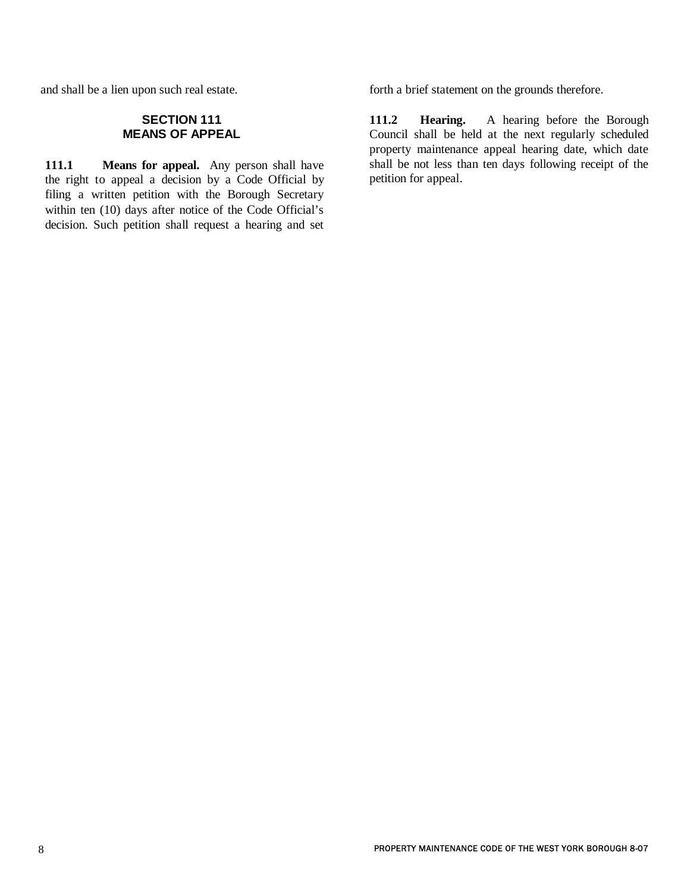and shall be a lien upon such real estate.

# **SECTION 111 MEANS OF APPEAL**

**111.1 Means for appeal.** Any person shall have the right to appeal a decision by a Code Official by filing a written petition with the Borough Secretary within ten (10) days after notice of the Code Official's decision. Such petition shall request a hearing and set forth a brief statement on the grounds therefore.

**111.2 Hearing.** A hearing before the Borough Council shall be held at the next regularly scheduled property maintenance appeal hearing date, which date shall be not less than ten days following receipt of the petition for appeal.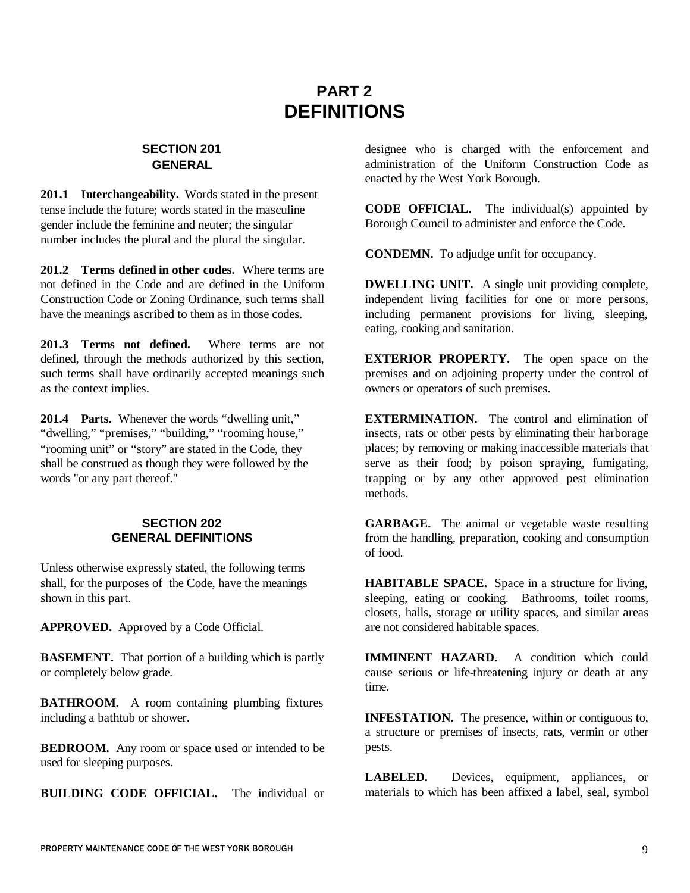# **PART 2 DEFINITIONS**

# **SECTION 201 GENERAL**

**201.1 Interchangeability.** Words stated in the present tense include the future; words stated in the masculine gender include the feminine and neuter; the singular number includes the plural and the plural the singular.

**201.2 Terms defined in other codes.** Where terms are not defined in the Code and are defined in the Uniform Construction Code or Zoning Ordinance, such terms shall have the meanings ascribed to them as in those codes.

**201.3 Terms not defined.** Where terms are not defined, through the methods authorized by this section, such terms shall have ordinarily accepted meanings such as the context implies.

**201.4 Parts.** Whenever the words "dwelling unit," "dwelling," "premises," "building," "rooming house," "rooming unit" or "story" are stated in the Code, they shall be construed as though they were followed by the words "or any part thereof."

#### **SECTION 202 GENERAL DEFINITIONS**

Unless otherwise expressly stated, the following terms shall, for the purposes of the Code, have the meanings shown in this part.

**APPROVED.** Approved by a Code Official.

**BASEMENT.** That portion of a building which is partly or completely below grade.

**BATHROOM.** A room containing plumbing fixtures including a bathtub or shower.

**BEDROOM.** Any room or space used or intended to be used for sleeping purposes.

**BUILDING CODE OFFICIAL.** The individual or

designee who is charged with the enforcement and administration of the Uniform Construction Code as enacted by the West York Borough.

**CODE OFFICIAL.** The individual(s) appointed by Borough Council to administer and enforce the Code.

**CONDEMN.** To adjudge unfit for occupancy.

**DWELLING UNIT.** A single unit providing complete, independent living facilities for one or more persons, including permanent provisions for living, sleeping, eating, cooking and sanitation.

**EXTERIOR PROPERTY.** The open space on the premises and on adjoining property under the control of owners or operators of such premises.

**EXTERMINATION.** The control and elimination of insects, rats or other pests by eliminating their harborage places; by removing or making inaccessible materials that serve as their food; by poison spraying, fumigating, trapping or by any other approved pest elimination methods.

**GARBAGE.** The animal or vegetable waste resulting from the handling, preparation, cooking and consumption of food.

**HABITABLE SPACE.** Space in a structure for living, sleeping, eating or cooking. Bathrooms, toilet rooms, closets, halls, storage or utility spaces, and similar areas are not considered habitable spaces.

**IMMINENT HAZARD.** A condition which could cause serious or life-threatening injury or death at any time.

**INFESTATION.** The presence, within or contiguous to, a structure or premises of insects, rats, vermin or other pests.

**LABELED.** Devices, equipment, appliances, or materials to which has been affixed a label, seal, symbol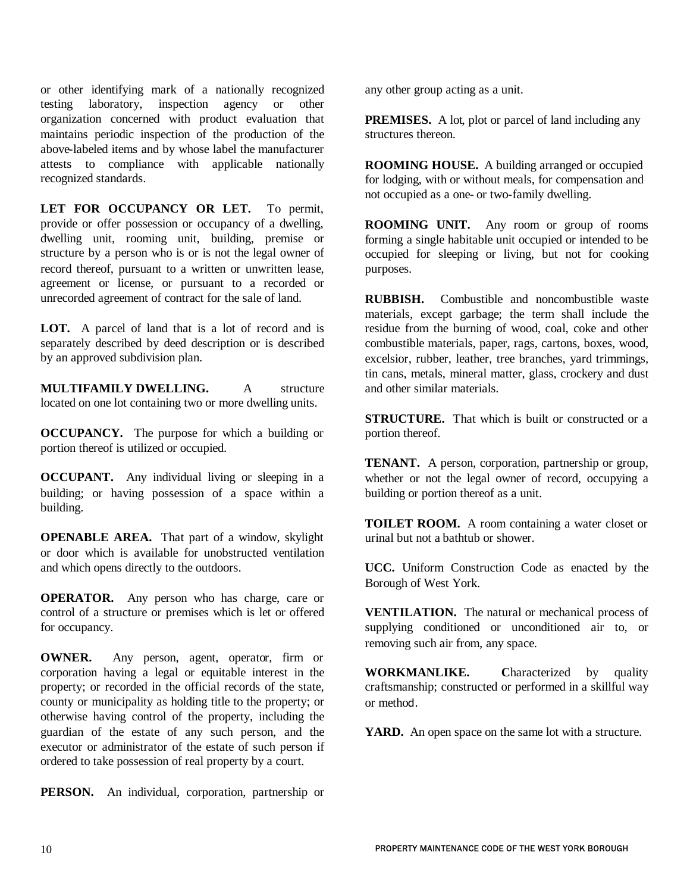or other identifying mark of a nationally recognized testing laboratory, inspection agency or other organization concerned with product evaluation that maintains periodic inspection of the production of the above-labeled items and by whose label the manufacturer attests to compliance with applicable nationally recognized standards.

**LET FOR OCCUPANCY OR LET.** To permit, provide or offer possession or occupancy of a dwelling, dwelling unit, rooming unit, building, premise or structure by a person who is or is not the legal owner of record thereof, pursuant to a written or unwritten lease, agreement or license, or pursuant to a recorded or unrecorded agreement of contract for the sale of land.

**LOT.** A parcel of land that is a lot of record and is separately described by deed description or is described by an approved subdivision plan.

**MULTIFAMILY DWELLING.** A structure located on one lot containing two or more dwelling units.

**OCCUPANCY.** The purpose for which a building or portion thereof is utilized or occupied.

**OCCUPANT.** Any individual living or sleeping in a building; or having possession of a space within a building.

**OPENABLE AREA.** That part of a window, skylight or door which is available for unobstructed ventilation and which opens directly to the outdoors.

**OPERATOR.** Any person who has charge, care or control of a structure or premises which is let or offered for occupancy.

**OWNER.** Any person, agent, operator, firm or corporation having a legal or equitable interest in the property; or recorded in the official records of the state, county or municipality as holding title to the property; or otherwise having control of the property, including the guardian of the estate of any such person, and the executor or administrator of the estate of such person if ordered to take possession of real property by a court.

**PERSON.** An individual, corporation, partnership or

any other group acting as a unit.

**PREMISES.** A lot, plot or parcel of land including any structures thereon.

**ROOMING HOUSE.** A building arranged or occupied for lodging, with or without meals, for compensation and not occupied as a one- or two-family dwelling.

**ROOMING UNIT.** Any room or group of rooms forming a single habitable unit occupied or intended to be occupied for sleeping or living, but not for cooking purposes.

**RUBBISH.** Combustible and noncombustible waste materials, except garbage; the term shall include the residue from the burning of wood, coal, coke and other combustible materials, paper, rags, cartons, boxes, wood, excelsior, rubber, leather, tree branches, yard trimmings, tin cans, metals, mineral matter, glass, crockery and dust and other similar materials.

**STRUCTURE.** That which is built or constructed or a portion thereof.

**TENANT.** A person, corporation, partnership or group, whether or not the legal owner of record, occupying a building or portion thereof as a unit.

**TOILET ROOM.** A room containing a water closet or urinal but not a bathtub or shower.

**UCC.** Uniform Construction Code as enacted by the Borough of West York.

**VENTILATION.** The natural or mechanical process of supplying conditioned or unconditioned air to, or removing such air from, any space.

**WORKMANLIKE.** Characterized by quality craftsmanship; constructed or performed in a skillful way or method.

**YARD.** An open space on the same lot with a structure.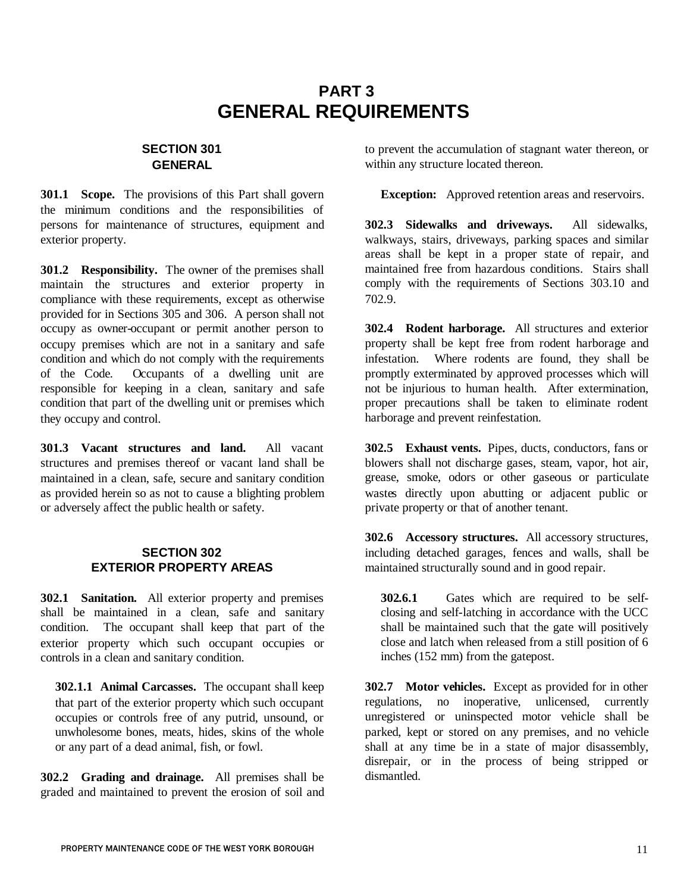# **PART 3 GENERAL REQUIREMENTS**

# **SECTION 301 GENERAL**

**301.1 Scope.** The provisions of this Part shall govern the minimum conditions and the responsibilities of persons for maintenance of structures, equipment and exterior property.

**301.2 Responsibility.** The owner of the premises shall maintain the structures and exterior property in compliance with these requirements, except as otherwise provided for in Sections 305 and 306. A person shall not occupy as owner-occupant or permit another person to occupy premises which are not in a sanitary and safe condition and which do not comply with the requirements of the Code. Occupants of a dwelling unit are responsible for keeping in a clean, sanitary and safe condition that part of the dwelling unit or premises which they occupy and control.

**301.3 Vacant structures and land.** All vacant structures and premises thereof or vacant land shall be maintained in a clean, safe, secure and sanitary condition as provided herein so as not to cause a blighting problem or adversely affect the public health or safety.

#### **SECTION 302 EXTERIOR PROPERTY AREAS**

**302.1 Sanitation.** All exterior property and premises shall be maintained in a clean, safe and sanitary condition. The occupant shall keep that part of the exterior property which such occupant occupies or controls in a clean and sanitary condition.

**302.1.1 Animal Carcasses.** The occupant shall keep that part of the exterior property which such occupant occupies or controls free of any putrid, unsound, or unwholesome bones, meats, hides, skins of the whole or any part of a dead animal, fish, or fowl.

**302.2 Grading and drainage.** All premises shall be graded and maintained to prevent the erosion of soil and to prevent the accumulation of stagnant water thereon, or within any structure located thereon.

**Exception:** Approved retention areas and reservoirs.

**302.3 Sidewalks and driveways.** All sidewalks, walkways, stairs, driveways, parking spaces and similar areas shall be kept in a proper state of repair, and maintained free from hazardous conditions. Stairs shall comply with the requirements of Sections 303.10 and 702.9.

**302.4 Rodent harborage.** All structures and exterior property shall be kept free from rodent harborage and infestation. Where rodents are found, they shall be promptly exterminated by approved processes which will not be injurious to human health. After extermination, proper precautions shall be taken to eliminate rodent harborage and prevent reinfestation.

**302.5 Exhaust vents.** Pipes, ducts, conductors, fans or blowers shall not discharge gases, steam, vapor, hot air, grease, smoke, odors or other gaseous or particulate wastes directly upon abutting or adjacent public or private property or that of another tenant.

**302.6 Accessory structures.** All accessory structures, including detached garages, fences and walls, shall be maintained structurally sound and in good repair.

**302.6.1** Gates which are required to be selfclosing and self-latching in accordance with the UCC shall be maintained such that the gate will positively close and latch when released from a still position of 6 inches (152 mm) from the gatepost.

**302.7 Motor vehicles.** Except as provided for in other regulations, no inoperative, unlicensed, currently unregistered or uninspected motor vehicle shall be parked, kept or stored on any premises, and no vehicle shall at any time be in a state of major disassembly, disrepair, or in the process of being stripped or dismantled.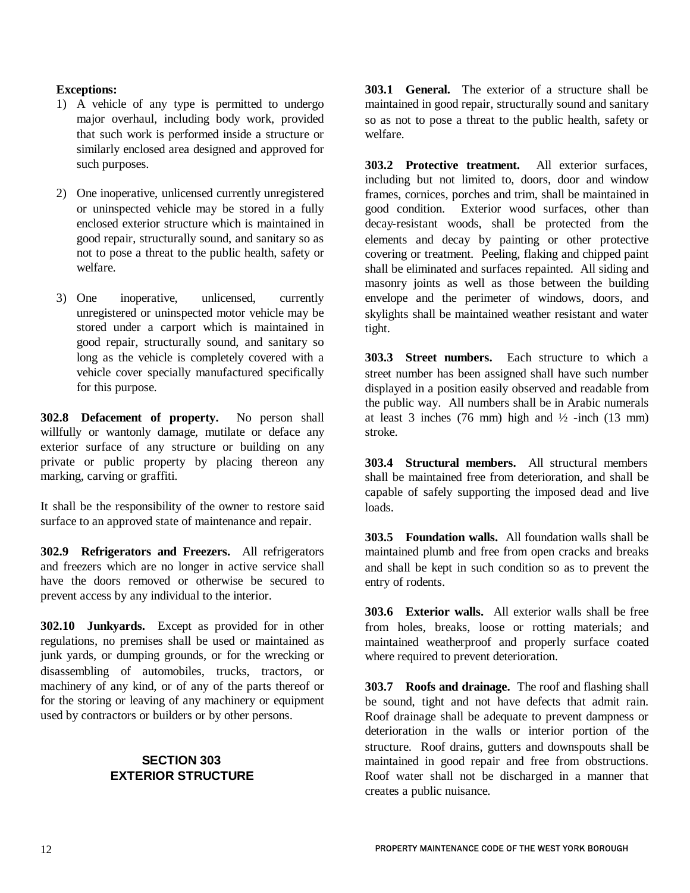### **Exceptions:**

- 1) A vehicle of any type is permitted to undergo major overhaul, including body work, provided that such work is performed inside a structure or similarly enclosed area designed and approved for such purposes.
- 2) One inoperative, unlicensed currently unregistered or uninspected vehicle may be stored in a fully enclosed exterior structure which is maintained in good repair, structurally sound, and sanitary so as not to pose a threat to the public health, safety or welfare.
- 3) One inoperative, unlicensed, currently unregistered or uninspected motor vehicle may be stored under a carport which is maintained in good repair, structurally sound, and sanitary so long as the vehicle is completely covered with a vehicle cover specially manufactured specifically for this purpose.

**302.8 Defacement of property.** No person shall willfully or wantonly damage, mutilate or deface any exterior surface of any structure or building on any private or public property by placing thereon any marking, carving or graffiti.

It shall be the responsibility of the owner to restore said surface to an approved state of maintenance and repair.

**302.9 Refrigerators and Freezers.** All refrigerators and freezers which are no longer in active service shall have the doors removed or otherwise be secured to prevent access by any individual to the interior.

**302.10 Junkyards.** Except as provided for in other regulations, no premises shall be used or maintained as junk yards, or dumping grounds, or for the wrecking or disassembling of automobiles, trucks, tractors, or machinery of any kind, or of any of the parts thereof or for the storing or leaving of any machinery or equipment used by contractors or builders or by other persons.

# **SECTION 303 EXTERIOR STRUCTURE**

**303.1 General.** The exterior of a structure shall be maintained in good repair, structurally sound and sanitary so as not to pose a threat to the public health, safety or welfare.

**303.2 Protective treatment.** All exterior surfaces, including but not limited to, doors, door and window frames, cornices, porches and trim, shall be maintained in good condition. Exterior wood surfaces, other than decay-resistant woods, shall be protected from the elements and decay by painting or other protective covering or treatment. Peeling, flaking and chipped paint shall be eliminated and surfaces repainted. All siding and masonry joints as well as those between the building envelope and the perimeter of windows, doors, and skylights shall be maintained weather resistant and water tight.

**303.3 Street numbers.** Each structure to which a street number has been assigned shall have such number displayed in a position easily observed and readable from the public way. All numbers shall be in Arabic numerals at least 3 inches (76 mm) high and  $\frac{1}{2}$  -inch (13 mm) stroke.

**303.4 Structural members.** All structural members shall be maintained free from deterioration, and shall be capable of safely supporting the imposed dead and live loads.

**303.5 Foundation walls.** All foundation walls shall be maintained plumb and free from open cracks and breaks and shall be kept in such condition so as to prevent the entry of rodents.

**303.6 Exterior walls.** All exterior walls shall be free from holes, breaks, loose or rotting materials; and maintained weatherproof and properly surface coated where required to prevent deterioration.

**303.7 Roofs and drainage.** The roof and flashing shall be sound, tight and not have defects that admit rain. Roof drainage shall be adequate to prevent dampness or deterioration in the walls or interior portion of the structure. Roof drains, gutters and downspouts shall be maintained in good repair and free from obstructions. Roof water shall not be discharged in a manner that creates a public nuisance.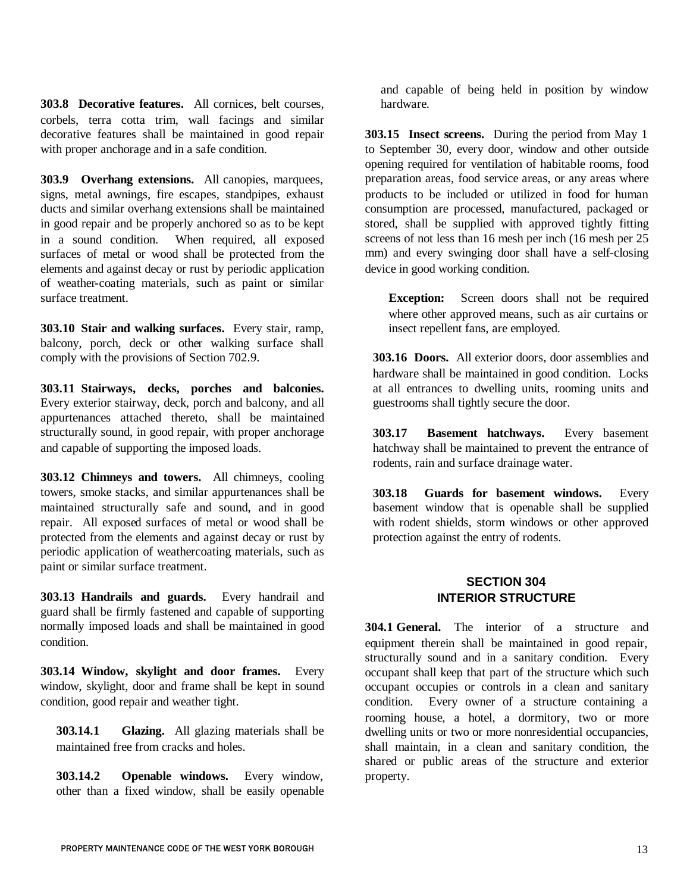**303.8 Decorative features.** All cornices, belt courses, corbels, terra cotta trim, wall facings and similar decorative features shall be maintained in good repair with proper anchorage and in a safe condition.

**303.9 Overhang extensions.** All canopies, marquees, signs, metal awnings, fire escapes, standpipes, exhaust ducts and similar overhang extensions shall be maintained in good repair and be properly anchored so as to be kept in a sound condition. When required, all exposed surfaces of metal or wood shall be protected from the elements and against decay or rust by periodic application of weather-coating materials, such as paint or similar surface treatment.

**303.10 Stair and walking surfaces.** Every stair, ramp, balcony, porch, deck or other walking surface shall comply with the provisions of Section 702.9.

**303.11 Stairways, decks, porches and balconies.** Every exterior stairway, deck, porch and balcony, and all appurtenances attached thereto, shall be maintained structurally sound, in good repair, with proper anchorage and capable of supporting the imposed loads.

**303.12 Chimneys and towers.** All chimneys, cooling towers, smoke stacks, and similar appurtenances shall be maintained structurally safe and sound, and in good repair. All exposed surfaces of metal or wood shall be protected from the elements and against decay or rust by periodic application of weathercoating materials, such as paint or similar surface treatment.

**303.13 Handrails and guards.** Every handrail and guard shall be firmly fastened and capable of supporting normally imposed loads and shall be maintained in good condition.

**303.14 Window, skylight and door frames.** Every window, skylight, door and frame shall be kept in sound condition, good repair and weather tight.

**303.14.1 Glazing.** All glazing materials shall be maintained free from cracks and holes.

**303.14.2 Openable windows.** Every window, other than a fixed window, shall be easily openable

and capable of being held in position by window hardware.

**303.15 Insect screens.** During the period from May 1 to September 30, every door, window and other outside opening required for ventilation of habitable rooms, food preparation areas, food service areas, or any areas where products to be included or utilized in food for human consumption are processed, manufactured, packaged or stored, shall be supplied with approved tightly fitting screens of not less than 16 mesh per inch (16 mesh per 25 mm) and every swinging door shall have a self-closing device in good working condition.

**Exception:** Screen doors shall not be required where other approved means, such as air curtains or insect repellent fans, are employed.

**303.16 Doors.** All exterior doors, door assemblies and hardware shall be maintained in good condition. Locks at all entrances to dwelling units, rooming units and guestrooms shall tightly secure the door.

**303.17 Basement hatchways.** Every basement hatchway shall be maintained to prevent the entrance of rodents, rain and surface drainage water.

**303.18 Guards for basement windows.** Every basement window that is openable shall be supplied with rodent shields, storm windows or other approved protection against the entry of rodents.

# **SECTION 304 INTERIOR STRUCTURE**

**304.1 General.** The interior of a structure and equipment therein shall be maintained in good repair, structurally sound and in a sanitary condition. Every occupant shall keep that part of the structure which such occupant occupies or controls in a clean and sanitary condition. Every owner of a structure containing a rooming house, a hotel, a dormitory, two or more dwelling units or two or more nonresidential occupancies, shall maintain, in a clean and sanitary condition, the shared or public areas of the structure and exterior property.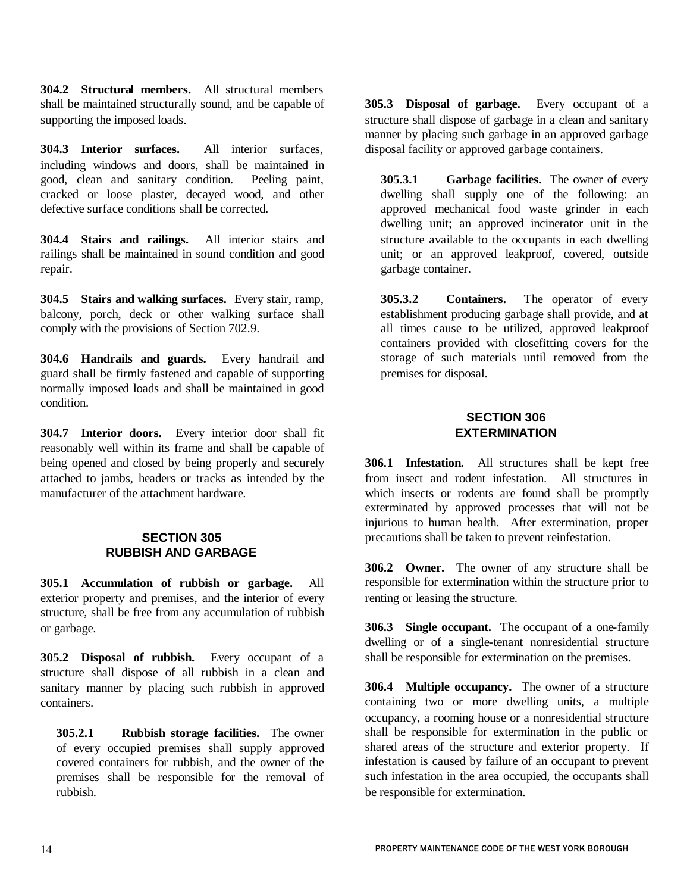**304.2 Structural members.** All structural members shall be maintained structurally sound, and be capable of supporting the imposed loads.

**304.3 Interior surfaces.** All interior surfaces, including windows and doors, shall be maintained in good, clean and sanitary condition. Peeling paint, cracked or loose plaster, decayed wood, and other defective surface conditions shall be corrected.

**304.4 Stairs and railings.** All interior stairs and railings shall be maintained in sound condition and good repair.

**304.5 Stairs and walking surfaces.** Every stair, ramp, balcony, porch, deck or other walking surface shall comply with the provisions of Section 702.9.

**304.6 Handrails and guards.** Every handrail and guard shall be firmly fastened and capable of supporting normally imposed loads and shall be maintained in good condition.

**304.7 Interior doors.** Every interior door shall fit reasonably well within its frame and shall be capable of being opened and closed by being properly and securely attached to jambs, headers or tracks as intended by the manufacturer of the attachment hardware.

### **SECTION 305 RUBBISH AND GARBAGE**

**305.1 Accumulation of rubbish or garbage.** All exterior property and premises, and the interior of every structure, shall be free from any accumulation of rubbish or garbage.

**305.2 Disposal of rubbish.** Every occupant of a structure shall dispose of all rubbish in a clean and sanitary manner by placing such rubbish in approved containers.

**305.2.1 Rubbish storage facilities.** The owner of every occupied premises shall supply approved covered containers for rubbish, and the owner of the premises shall be responsible for the removal of rubbish.

**305.3 Disposal of garbage.** Every occupant of a structure shall dispose of garbage in a clean and sanitary manner by placing such garbage in an approved garbage disposal facility or approved garbage containers.

**305.3.1 Garbage facilities.** The owner of every dwelling shall supply one of the following: an approved mechanical food waste grinder in each dwelling unit; an approved incinerator unit in the structure available to the occupants in each dwelling unit; or an approved leakproof, covered, outside garbage container.

**305.3.2 Containers.** The operator of every establishment producing garbage shall provide, and at all times cause to be utilized, approved leakproof containers provided with closefitting covers for the storage of such materials until removed from the premises for disposal.

## **SECTION 306 EXTERMINATION**

**306.1 Infestation.** All structures shall be kept free from insect and rodent infestation. All structures in which insects or rodents are found shall be promptly exterminated by approved processes that will not be injurious to human health. After extermination, proper precautions shall be taken to prevent reinfestation.

**306.2 Owner.** The owner of any structure shall be responsible for extermination within the structure prior to renting or leasing the structure.

**306.3 Single occupant.** The occupant of a one-family dwelling or of a single-tenant nonresidential structure shall be responsible for extermination on the premises.

**306.4 Multiple occupancy.** The owner of a structure containing two or more dwelling units, a multiple occupancy, a rooming house or a nonresidential structure shall be responsible for extermination in the public or shared areas of the structure and exterior property. If infestation is caused by failure of an occupant to prevent such infestation in the area occupied, the occupants shall be responsible for extermination.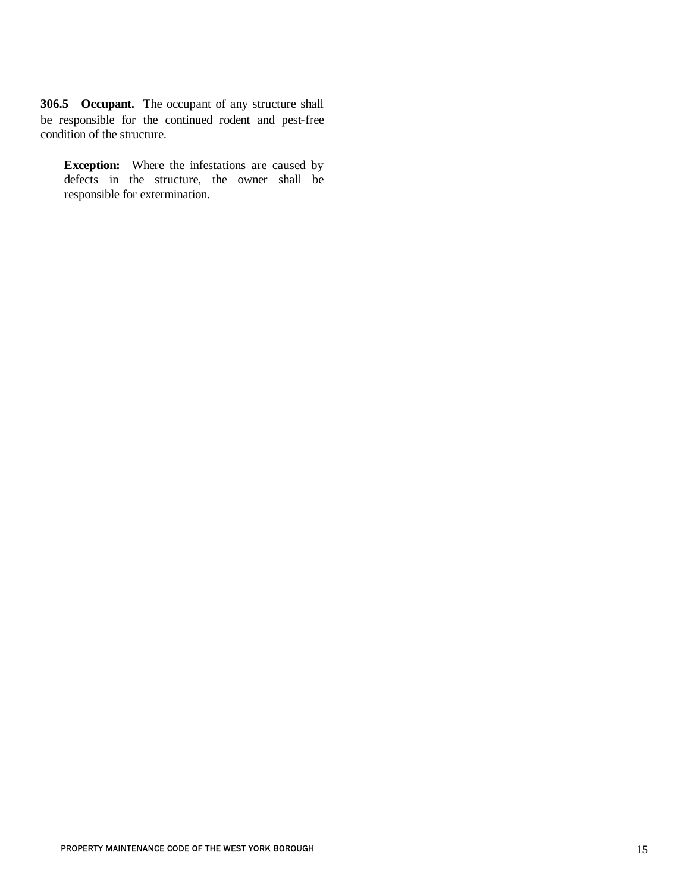**306.5 Occupant.** The occupant of any structure shall be responsible for the continued rodent and pest-free condition of the structure.

**Exception:** Where the infestations are caused by defects in the structure, the owner shall be responsible for extermination.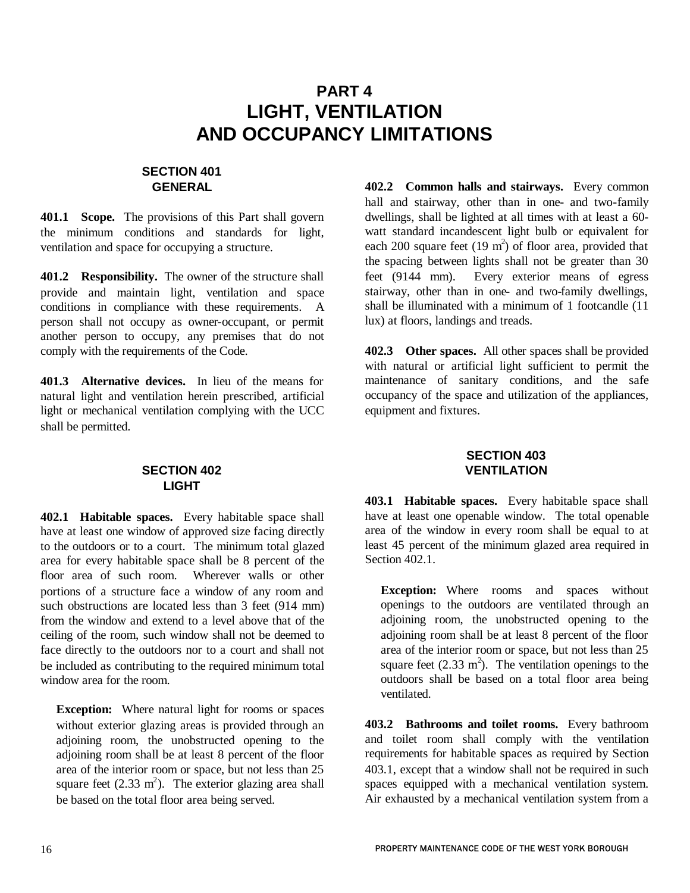# **PART 4 LIGHT, VENTILATION AND OCCUPANCY LIMITATIONS**

# **SECTION 401 GENERAL**

**401.1 Scope.** The provisions of this Part shall govern the minimum conditions and standards for light, ventilation and space for occupying a structure.

**401.2 Responsibility.** The owner of the structure shall provide and maintain light, ventilation and space conditions in compliance with these requirements. A person shall not occupy as owner-occupant, or permit another person to occupy, any premises that do not comply with the requirements of the Code.

**401.3 Alternative devices.** In lieu of the means for natural light and ventilation herein prescribed, artificial light or mechanical ventilation complying with the UCC shall be permitted.

# **SECTION 402 LIGHT**

**402.1 Habitable spaces.** Every habitable space shall have at least one window of approved size facing directly to the outdoors or to a court. The minimum total glazed area for every habitable space shall be 8 percent of the floor area of such room. Wherever walls or other portions of a structure face a window of any room and such obstructions are located less than 3 feet (914 mm) from the window and extend to a level above that of the ceiling of the room, such window shall not be deemed to face directly to the outdoors nor to a court and shall not be included as contributing to the required minimum total window area for the room.

**Exception:** Where natural light for rooms or spaces without exterior glazing areas is provided through an adjoining room, the unobstructed opening to the adjoining room shall be at least 8 percent of the floor area of the interior room or space, but not less than 25 square feet  $(2.33 \text{ m}^2)$ . The exterior glazing area shall be based on the total floor area being served.

**402.2 Common halls and stairways.** Every common hall and stairway, other than in one- and two-family dwellings, shall be lighted at all times with at least a 60 watt standard incandescent light bulb or equivalent for each 200 square feet  $(19 \text{ m}^2)$  of floor area, provided that the spacing between lights shall not be greater than 30 feet (9144 mm). Every exterior means of egress stairway, other than in one- and two-family dwellings, shall be illuminated with a minimum of 1 footcandle (11 lux) at floors, landings and treads.

**402.3 Other spaces.** All other spaces shall be provided with natural or artificial light sufficient to permit the maintenance of sanitary conditions, and the safe occupancy of the space and utilization of the appliances, equipment and fixtures.

# **SECTION 403 VENTILATION**

**403.1 Habitable spaces.** Every habitable space shall have at least one openable window. The total openable area of the window in every room shall be equal to at least 45 percent of the minimum glazed area required in Section 402.1.

**Exception:** Where rooms and spaces without openings to the outdoors are ventilated through an adjoining room, the unobstructed opening to the adjoining room shall be at least 8 percent of the floor area of the interior room or space, but not less than 25 square feet  $(2.33 \text{ m}^2)$ . The ventilation openings to the outdoors shall be based on a total floor area being ventilated.

**403.2 Bathrooms and toilet rooms.** Every bathroom and toilet room shall comply with the ventilation requirements for habitable spaces as required by Section 403.1, except that a window shall not be required in such spaces equipped with a mechanical ventilation system. Air exhausted by a mechanical ventilation system from a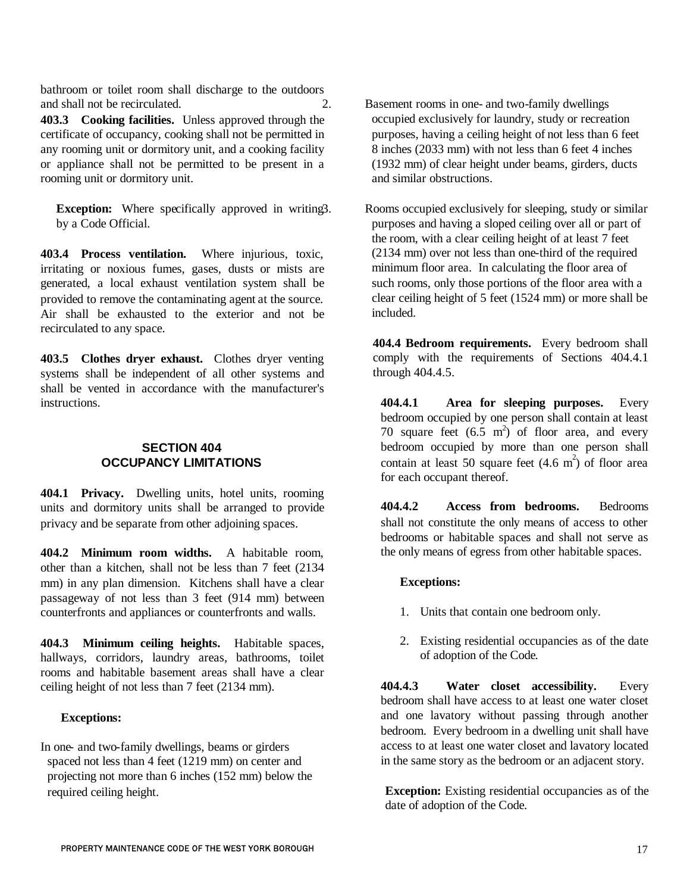bathroom or toilet room shall discharge to the outdoors and shall not be recirculated.

**403.3 Cooking facilities.** Unless approved through the certificate of occupancy, cooking shall not be permitted in any rooming unit or dormitory unit, and a cooking facility or appliance shall not be permitted to be present in a rooming unit or dormitory unit.

**Exception:** Where specifically approved in writing3. by a Code Official.

**403.4 Process ventilation.** Where injurious, toxic, irritating or noxious fumes, gases, dusts or mists are generated, a local exhaust ventilation system shall be provided to remove the contaminating agent at the source. Air shall be exhausted to the exterior and not be recirculated to any space.

**403.5 Clothes dryer exhaust.** Clothes dryer venting systems shall be independent of all other systems and shall be vented in accordance with the manufacturer's instructions.

### **SECTION 404 OCCUPANCY LIMITATIONS**

**404.1 Privacy.** Dwelling units, hotel units, rooming units and dormitory units shall be arranged to provide privacy and be separate from other adjoining spaces.

**404.2 Minimum room widths.** A habitable room, other than a kitchen, shall not be less than 7 feet (2134 mm) in any plan dimension. Kitchens shall have a clear passageway of not less than 3 feet (914 mm) between counterfronts and appliances or counterfronts and walls.

**404.3 Minimum ceiling heights.** Habitable spaces, hallways, corridors, laundry areas, bathrooms, toilet rooms and habitable basement areas shall have a clear ceiling height of not less than 7 feet (2134 mm).

#### **Exceptions:**

In one- and two-family dwellings, beams or girders access to at least one water closet and lavatory located spaced not less than 4 feet (1219 mm) on center and projecting not more than 6 inches (152 mm) below the required ceiling height.

2. Basement rooms in one- and two-family dwellings occupied exclusively for laundry, study or recreation purposes, having a ceiling height of not less than 6 feet 8 inches (2033 mm) with not less than 6 feet 4 inches (1932 mm) of clear height under beams, girders, ducts and similar obstructions.

> Rooms occupied exclusively for sleeping, study or similar purposes and having a sloped ceiling over all or part of the room, with a clear ceiling height of at least 7 feet (2134 mm) over not less than one-third of the required minimum floor area. In calculating the floor area of such rooms, only those portions of the floor area with a clear ceiling height of 5 feet (1524 mm) or more shall be included.

**404.4 Bedroom requirements.** Every bedroom shall comply with the requirements of Sections 404.4.1 through 404.4.5.

**404.4.1 Area for sleeping purposes.** Every bedroom occupied by one person shall contain at least 70 square feet  $(6.5 \text{ m}^2)$  of floor area, and every bedroom occupied by more than one person shall contain at least 50 square feet  $(4.6 \text{ m}^2)$  of floor area for each occupant thereof.

**404.4.2 Access from bedrooms.** Bedrooms shall not constitute the only means of access to other bedrooms or habitable spaces and shall not serve as the only means of egress from other habitable spaces.

#### **Exceptions:**

- 1. Units that contain one bedroom only.
- 2. Existing residential occupancies as of the date of adoption of the Code.

**404.4.3 Water closet accessibility.** Every bedroom shall have access to at least one water closet and one lavatory without passing through another bedroom. Every bedroom in a dwelling unit shall have access to at least one water closet and lavatory located in the same story as the bedroom or an adjacent story.

**Exception:** Existing residential occupancies as of the date of adoption of the Code.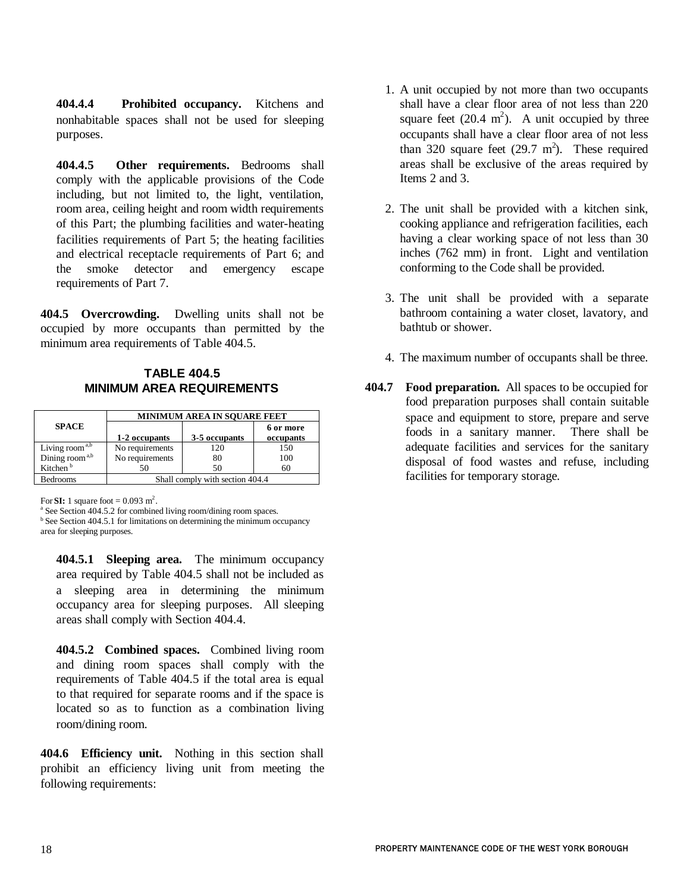**404.4.4 Prohibited occupancy.** Kitchens and nonhabitable spaces shall not be used for sleeping purposes.

**404.4.5 Other requirements.** Bedrooms shall comply with the applicable provisions of the Code including, but not limited to, the light, ventilation, room area, ceiling height and room width requirements of this Part; the plumbing facilities and water-heating facilities requirements of Part 5; the heating facilities and electrical receptacle requirements of Part 6; and the smoke detector and emergency escape requirements of Part 7.

**404.5 Overcrowding.** Dwelling units shall not be occupied by more occupants than permitted by the minimum area requirements of Table 404.5.

# **TABLE 404.5 MINIMUM AREA REQUIREMENTS**

|                            | <b>MINIMUM AREA IN SOUARE FEET</b> |               |           |
|----------------------------|------------------------------------|---------------|-----------|
| <b>SPACE</b>               |                                    |               | 6 or more |
|                            | 1-2 occupants                      | 3-5 occupants | occupants |
| Living room <sup>a,b</sup> | No requirements                    | 120           | 150       |
| Dining room <sup>a,b</sup> | No requirements                    | 80            | 100       |
| Kitchen <sup>b</sup>       | 50                                 | 50            | 60        |
| <b>Bedrooms</b>            | Shall comply with section 404.4    |               |           |

For **SI:** 1 square foot  $= 0.093$  m<sup>2</sup>.

<sup>a</sup> See Section 404.5.2 for combined living room/dining room spaces. <sup>b</sup> See Section 404.5.1 for limitations on determining the minimum occupancy area for sleeping purposes.

**404.5.1 Sleeping area.** The minimum occupancy area required by Table 404.5 shall not be included as a sleeping area in determining the minimum occupancy area for sleeping purposes. All sleeping areas shall comply with Section 404.4.

**404.5.2 Combined spaces.** Combined living room and dining room spaces shall comply with the requirements of Table 404.5 if the total area is equal to that required for separate rooms and if the space is located so as to function as a combination living room/dining room.

**404.6 Efficiency unit.** Nothing in this section shall prohibit an efficiency living unit from meeting the following requirements:

- 1. A unit occupied by not more than two occupants shall have a clear floor area of not less than 220 square feet  $(20.4 \text{ m}^2)$ . A unit occupied by three occupants shall have a clear floor area of not less than 320 square feet  $(29.7 \text{ m}^2)$ . These required areas shall be exclusive of the areas required by Items 2 and 3.
- 2. The unit shall be provided with a kitchen sink, cooking appliance and refrigeration facilities, each having a clear working space of not less than 30 inches (762 mm) in front. Light and ventilation conforming to the Code shall be provided.
- 3. The unit shall be provided with a separate bathroom containing a water closet, lavatory, and bathtub or shower.
- 4. The maximum number of occupants shall be three.
- **404.7 Food preparation.** All spaces to be occupied for food preparation purposes shall contain suitable space and equipment to store, prepare and serve foods in a sanitary manner. There shall be adequate facilities and services for the sanitary disposal of food wastes and refuse, including facilities for temporary storage.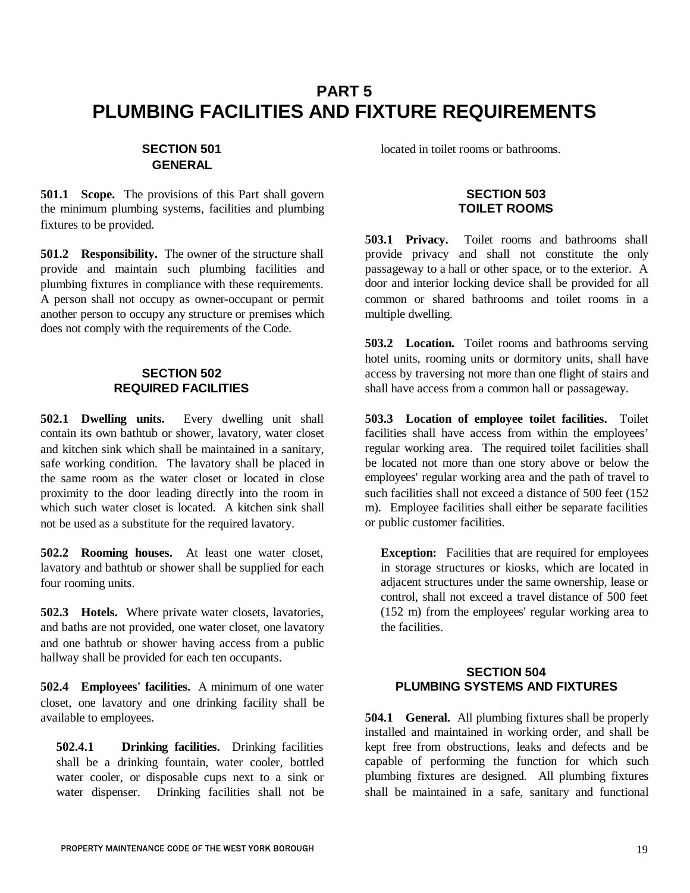# **PART 5 PLUMBING FACILITIES AND FIXTURE REQUIREMENTS**

# **SECTION 501 GENERAL**

**501.1 Scope.** The provisions of this Part shall govern the minimum plumbing systems, facilities and plumbing fixtures to be provided.

**501.2 Responsibility.** The owner of the structure shall provide and maintain such plumbing facilities and plumbing fixtures in compliance with these requirements. A person shall not occupy as owner-occupant or permit another person to occupy any structure or premises which does not comply with the requirements of the Code.

### **SECTION 502 REQUIRED FACILITIES**

**502.1 Dwelling units.** Every dwelling unit shall contain its own bathtub or shower, lavatory, water closet and kitchen sink which shall be maintained in a sanitary, safe working condition. The lavatory shall be placed in the same room as the water closet or located in close proximity to the door leading directly into the room in which such water closet is located. A kitchen sink shall not be used as a substitute for the required lavatory.

**502.2 Rooming houses.** At least one water closet, lavatory and bathtub or shower shall be supplied for each four rooming units.

**502.3 Hotels.** Where private water closets, lavatories, and baths are not provided, one water closet, one lavatory and one bathtub or shower having access from a public hallway shall be provided for each ten occupants.

**502.4 Employees' facilities.** A minimum of one water closet, one lavatory and one drinking facility shall be available to employees.

**502.4.1 Drinking facilities.** Drinking facilities shall be a drinking fountain, water cooler, bottled water cooler, or disposable cups next to a sink or water dispenser. Drinking facilities shall not be located in toilet rooms or bathrooms.

#### **SECTION 503 TOILET ROOMS**

**503.1 Privacy.** Toilet rooms and bathrooms shall provide privacy and shall not constitute the only passageway to a hall or other space, or to the exterior. A door and interior locking device shall be provided for all common or shared bathrooms and toilet rooms in a multiple dwelling.

**503.2 Location.** Toilet rooms and bathrooms serving hotel units, rooming units or dormitory units, shall have access by traversing not more than one flight of stairs and shall have access from a common hall or passageway.

**503.3 Location of employee toilet facilities.** Toilet facilities shall have access from within the employees' regular working area. The required toilet facilities shall be located not more than one story above or below the employees' regular working area and the path of travel to such facilities shall not exceed a distance of 500 feet (152 m). Employee facilities shall either be separate facilities or public customer facilities.

**Exception:** Facilities that are required for employees in storage structures or kiosks, which are located in adjacent structures under the same ownership, lease or control, shall not exceed a travel distance of 500 feet (152 m) from the employees' regular working area to the facilities.

#### **SECTION 504 PLUMBING SYSTEMS AND FIXTURES**

**504.1 General.** All plumbing fixtures shall be properly installed and maintained in working order, and shall be kept free from obstructions, leaks and defects and be capable of performing the function for which such plumbing fixtures are designed. All plumbing fixtures shall be maintained in a safe, sanitary and functional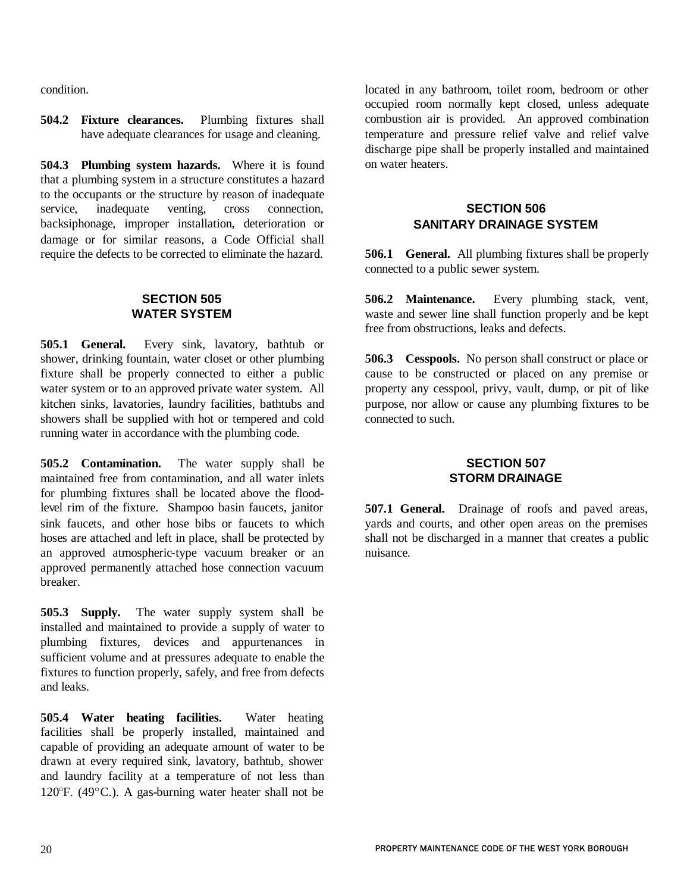condition.

**504.2 Fixture clearances.** Plumbing fixtures shall have adequate clearances for usage and cleaning.

**504.3 Plumbing system hazards.** Where it is found that a plumbing system in a structure constitutes a hazard to the occupants or the structure by reason of inadequate service, inadequate venting, cross connection, backsiphonage, improper installation, deterioration or damage or for similar reasons, a Code Official shall require the defects to be corrected to eliminate the hazard.

#### **SECTION 505 WATER SYSTEM**

**505.1 General.** Every sink, lavatory, bathtub or shower, drinking fountain, water closet or other plumbing fixture shall be properly connected to either a public water system or to an approved private water system. All kitchen sinks, lavatories, laundry facilities, bathtubs and showers shall be supplied with hot or tempered and cold running water in accordance with the plumbing code.

**505.2 Contamination.** The water supply shall be maintained free from contamination, and all water inlets for plumbing fixtures shall be located above the floodlevel rim of the fixture. Shampoo basin faucets, janitor sink faucets, and other hose bibs or faucets to which hoses are attached and left in place, shall be protected by an approved atmospheric-type vacuum breaker or an approved permanently attached hose connection vacuum breaker.

**505.3 Supply.** The water supply system shall be installed and maintained to provide a supply of water to plumbing fixtures, devices and appurtenances in sufficient volume and at pressures adequate to enable the fixtures to function properly, safely, and free from defects and leaks.

**505.4 Water heating facilities.** Water heating facilities shall be properly installed, maintained and capable of providing an adequate amount of water to be drawn at every required sink, lavatory, bathtub, shower and laundry facility at a temperature of not less than 120 $\textdegree$ F. (49 $\textdegree$ C.). A gas-burning water heater shall not be

located in any bathroom, toilet room, bedroom or other occupied room normally kept closed, unless adequate combustion air is provided. An approved combination temperature and pressure relief valve and relief valve discharge pipe shall be properly installed and maintained on water heaters.

## **SECTION 506 SANITARY DRAINAGE SYSTEM**

**506.1 General.** All plumbing fixtures shall be properly connected to a public sewer system.

**506.2 Maintenance.** Every plumbing stack, vent, waste and sewer line shall function properly and be kept free from obstructions, leaks and defects.

**506.3 Cesspools.** No person shall construct or place or cause to be constructed or placed on any premise or property any cesspool, privy, vault, dump, or pit of like purpose, nor allow or cause any plumbing fixtures to be connected to such.

### **SECTION 507 STORM DRAINAGE**

**507.1 General.** Drainage of roofs and paved areas, yards and courts, and other open areas on the premises shall not be discharged in a manner that creates a public nuisance.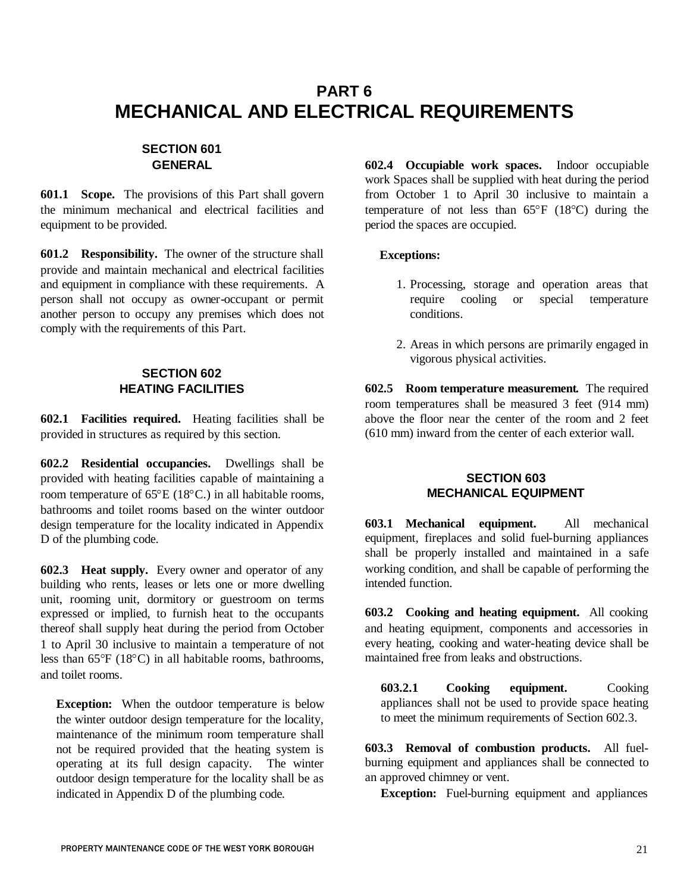# **PART 6 MECHANICAL AND ELECTRICAL REQUIREMENTS**

# **SECTION 601 GENERAL**

**601.1 Scope.** The provisions of this Part shall govern the minimum mechanical and electrical facilities and equipment to be provided.

**601.2 Responsibility.** The owner of the structure shall provide and maintain mechanical and electrical facilities and equipment in compliance with these requirements. A person shall not occupy as owner-occupant or permit another person to occupy any premises which does not comply with the requirements of this Part.

## **SECTION 602 HEATING FACILITIES**

**602.1 Facilities required.** Heating facilities shall be provided in structures as required by this section.

**602.2 Residential occupancies.** Dwellings shall be provided with heating facilities capable of maintaining a room temperature of  $65^{\circ}E(18^{\circ}C)$  in all habitable rooms, bathrooms and toilet rooms based on the winter outdoor design temperature for the locality indicated in Appendix D of the plumbing code.

**602.3 Heat supply.** Every owner and operator of any building who rents, leases or lets one or more dwelling unit, rooming unit, dormitory or guestroom on terms expressed or implied, to furnish heat to the occupants thereof shall supply heat during the period from October 1 to April 30 inclusive to maintain a temperature of not less than  $65^{\circ}F$  (18 $^{\circ}C$ ) in all habitable rooms, bathrooms, and toilet rooms.

**Exception:** When the outdoor temperature is below the winter outdoor design temperature for the locality, maintenance of the minimum room temperature shall not be required provided that the heating system is operating at its full design capacity. The winter outdoor design temperature for the locality shall be as indicated in Appendix D of the plumbing code.

**602.4 Occupiable work spaces.** Indoor occupiable work Spaces shall be supplied with heat during the period from October 1 to April 30 inclusive to maintain a temperature of not less than  $65^{\circ}F$  (18 $^{\circ}C$ ) during the period the spaces are occupied.

#### **Exceptions:**

- 1. Processing, storage and operation areas that require cooling or special temperature conditions.
- 2. Areas in which persons are primarily engaged in vigorous physical activities.

**602.5 Room temperature measurement.** The required room temperatures shall be measured 3 feet (914 mm) above the floor near the center of the room and 2 feet (610 mm) inward from the center of each exterior wall.

### **SECTION 603 MECHANICAL EQUIPMENT**

**603.1 Mechanical equipment.** All mechanical equipment, fireplaces and solid fuel-burning appliances shall be properly installed and maintained in a safe working condition, and shall be capable of performing the intended function.

**603.2 Cooking and heating equipment.** All cooking and heating equipment, components and accessories in every heating, cooking and water-heating device shall be maintained free from leaks and obstructions.

**603.2.1 Cooking equipment.** Cooking appliances shall not be used to provide space heating to meet the minimum requirements of Section 602.3.

**603.3 Removal of combustion products.** All fuelburning equipment and appliances shall be connected to an approved chimney or vent.

**Exception:** Fuel-burning equipment and appliances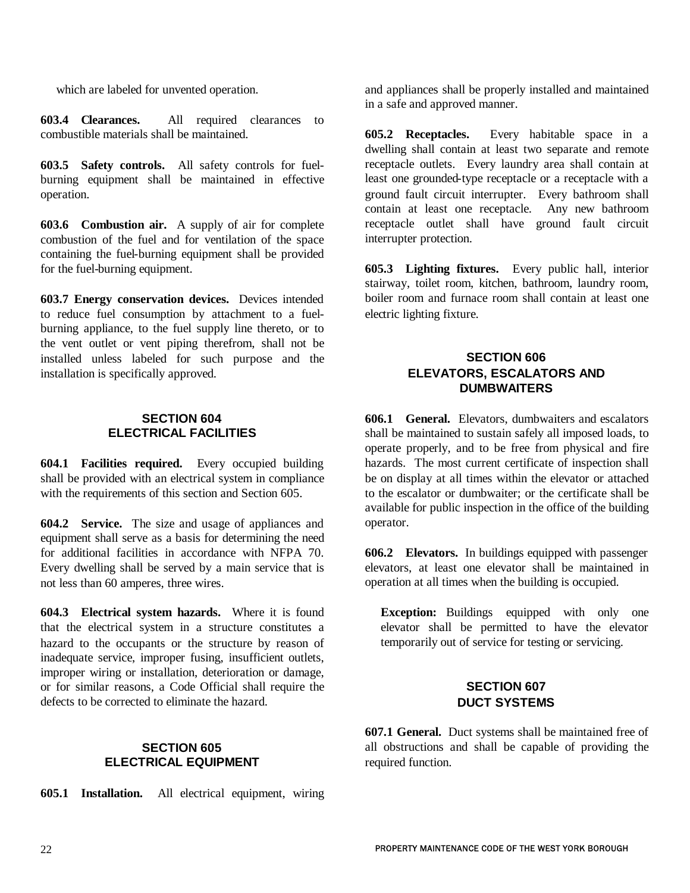which are labeled for unvented operation.

**603.4 Clearances.** All required clearances to combustible materials shall be maintained.

**603.5 Safety controls.** All safety controls for fuelburning equipment shall be maintained in effective operation.

**603.6 Combustion air.** A supply of air for complete combustion of the fuel and for ventilation of the space containing the fuel-burning equipment shall be provided for the fuel-burning equipment.

**603.7 Energy conservation devices.** Devices intended to reduce fuel consumption by attachment to a fuelburning appliance, to the fuel supply line thereto, or to the vent outlet or vent piping therefrom, shall not be installed unless labeled for such purpose and the installation is specifically approved.

#### **SECTION 604 ELECTRICAL FACILITIES**

**604.1 Facilities required.** Every occupied building shall be provided with an electrical system in compliance with the requirements of this section and Section 605.

**604.2 Service.** The size and usage of appliances and equipment shall serve as a basis for determining the need for additional facilities in accordance with NFPA 70. Every dwelling shall be served by a main service that is not less than 60 amperes, three wires.

**604.3 Electrical system hazards.** Where it is found that the electrical system in a structure constitutes a hazard to the occupants or the structure by reason of inadequate service, improper fusing, insufficient outlets, improper wiring or installation, deterioration or damage, or for similar reasons, a Code Official shall require the defects to be corrected to eliminate the hazard.

## **SECTION 605 ELECTRICAL EQUIPMENT**

**605.1 Installation.** All electrical equipment, wiring

and appliances shall be properly installed and maintained in a safe and approved manner.

**605.2 Receptacles.** Every habitable space in a dwelling shall contain at least two separate and remote receptacle outlets. Every laundry area shall contain at least one grounded-type receptacle or a receptacle with a ground fault circuit interrupter. Every bathroom shall contain at least one receptacle. Any new bathroom receptacle outlet shall have ground fault circuit interrupter protection.

**605.3 Lighting fixtures.** Every public hall, interior stairway, toilet room, kitchen, bathroom, laundry room, boiler room and furnace room shall contain at least one electric lighting fixture.

## **SECTION 606 ELEVATORS, ESCALATORS AND DUMBWAITERS**

**606.1 General.** Elevators, dumbwaiters and escalators shall be maintained to sustain safely all imposed loads, to operate properly, and to be free from physical and fire hazards. The most current certificate of inspection shall be on display at all times within the elevator or attached to the escalator or dumbwaiter; or the certificate shall be available for public inspection in the office of the building operator.

**606.2 Elevators.** In buildings equipped with passenger elevators, at least one elevator shall be maintained in operation at all times when the building is occupied.

**Exception:** Buildings equipped with only one elevator shall be permitted to have the elevator temporarily out of service for testing or servicing.

# **SECTION 607 DUCT SYSTEMS**

**607.1 General.** Duct systems shall be maintained free of all obstructions and shall be capable of providing the required function.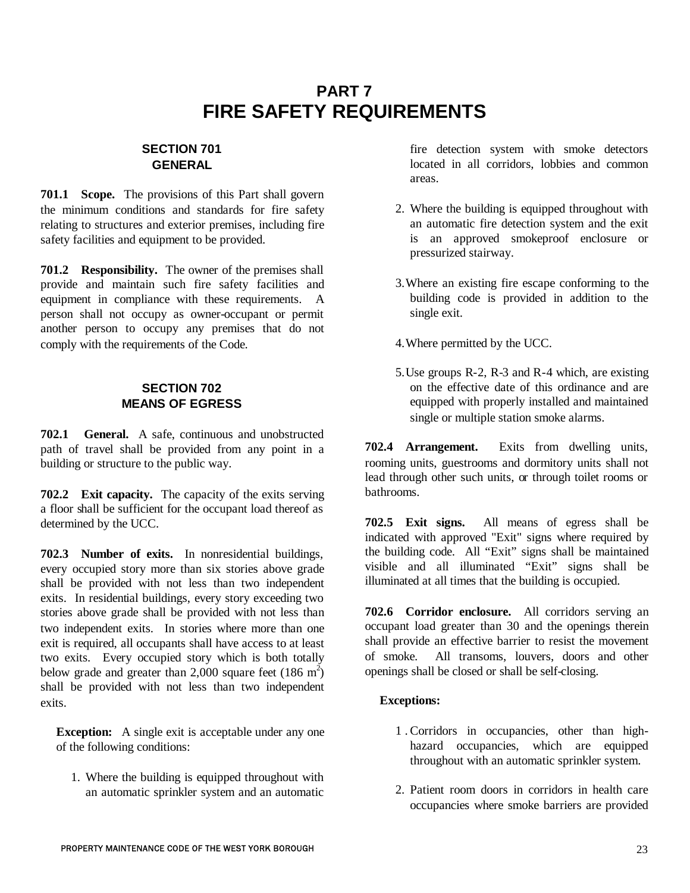# **PART 7 FIRE SAFETY REQUIREMENTS**

# **SECTION 701 GENERAL**

**701.1 Scope.** The provisions of this Part shall govern the minimum conditions and standards for fire safety relating to structures and exterior premises, including fire safety facilities and equipment to be provided.

**701.2 Responsibility.** The owner of the premises shall provide and maintain such fire safety facilities and equipment in compliance with these requirements. A person shall not occupy as owner-occupant or permit another person to occupy any premises that do not comply with the requirements of the Code.

# **SECTION 702 MEANS OF EGRESS**

**702.1 General.** A safe, continuous and unobstructed path of travel shall be provided from any point in a building or structure to the public way.

**702.2 Exit capacity.** The capacity of the exits serving a floor shall be sufficient for the occupant load thereof as determined by the UCC.

**702.3 Number of exits.** In nonresidential buildings, every occupied story more than six stories above grade shall be provided with not less than two independent exits. In residential buildings, every story exceeding two stories above grade shall be provided with not less than two independent exits. In stories where more than one exit is required, all occupants shall have access to at least two exits. Every occupied story which is both totally below grade and greater than 2,000 square feet  $(186 \text{ m}^2)$ shall be provided with not less than two independent exits.

**Exception:** A single exit is acceptable under any one of the following conditions:

1. Where the building is equipped throughout with an automatic sprinkler system and an automatic fire detection system with smoke detectors located in all corridors, lobbies and common areas.

- 2. Where the building is equipped throughout with an automatic fire detection system and the exit is an approved smokeproof enclosure or pressurized stairway.
- 3.Where an existing fire escape conforming to the building code is provided in addition to the single exit.

4.Where permitted by the UCC.

5.Use groups R-2, R-3 and R-4 which, are existing on the effective date of this ordinance and are equipped with properly installed and maintained single or multiple station smoke alarms.

**702.4 Arrangement.** Exits from dwelling units, rooming units, guestrooms and dormitory units shall not lead through other such units, or through toilet rooms or bathrooms.

**702.5 Exit signs.** All means of egress shall be indicated with approved "Exit" signs where required by the building code. All "Exit" signs shall be maintained visible and all illuminated "Exit" signs shall be illuminated at all times that the building is occupied.

**702.6 Corridor enclosure.** All corridors serving an occupant load greater than 30 and the openings therein shall provide an effective barrier to resist the movement of smoke. All transoms, louvers, doors and other openings shall be closed or shall be self-closing.

# **Exceptions:**

- 1 . Corridors in occupancies, other than highhazard occupancies, which are equipped throughout with an automatic sprinkler system.
- 2. Patient room doors in corridors in health care occupancies where smoke barriers are provided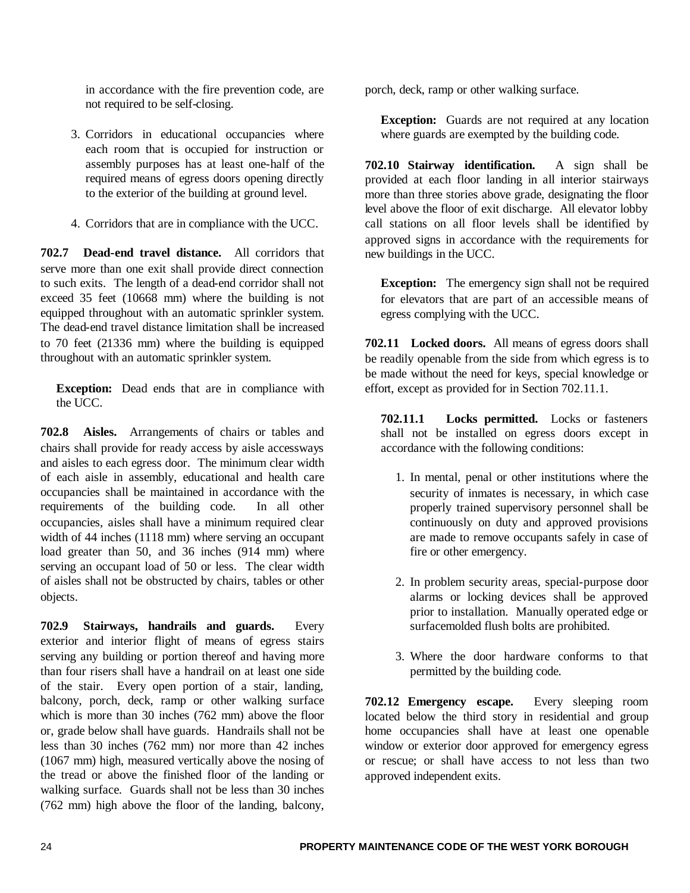in accordance with the fire prevention code, are not required to be self-closing.

- 3. Corridors in educational occupancies where each room that is occupied for instruction or assembly purposes has at least one-half of the required means of egress doors opening directly to the exterior of the building at ground level.
- 4. Corridors that are in compliance with the UCC.

**702.7 Dead-end travel distance.** All corridors that serve more than one exit shall provide direct connection to such exits. The length of a dead-end corridor shall not exceed 35 feet (10668 mm) where the building is not equipped throughout with an automatic sprinkler system. The dead-end travel distance limitation shall be increased to 70 feet (21336 mm) where the building is equipped throughout with an automatic sprinkler system.

**Exception:** Dead ends that are in compliance with the UCC.

**702.8 Aisles.** Arrangements of chairs or tables and chairs shall provide for ready access by aisle accessways and aisles to each egress door. The minimum clear width of each aisle in assembly, educational and health care occupancies shall be maintained in accordance with the requirements of the building code. In all other occupancies, aisles shall have a minimum required clear width of 44 inches (1118 mm) where serving an occupant load greater than 50, and 36 inches (914 mm) where serving an occupant load of 50 or less. The clear width of aisles shall not be obstructed by chairs, tables or other objects.

**702.9 Stairways, handrails and guards.** Every exterior and interior flight of means of egress stairs serving any building or portion thereof and having more than four risers shall have a handrail on at least one side of the stair. Every open portion of a stair, landing, balcony, porch, deck, ramp or other walking surface which is more than 30 inches (762 mm) above the floor or, grade below shall have guards. Handrails shall not be less than 30 inches (762 mm) nor more than 42 inches (1067 mm) high, measured vertically above the nosing of the tread or above the finished floor of the landing or walking surface. Guards shall not be less than 30 inches (762 mm) high above the floor of the landing, balcony, porch, deck, ramp or other walking surface.

**Exception:** Guards are not required at any location where guards are exempted by the building code.

**702.10 Stairway identification.** A sign shall be provided at each floor landing in all interior stairways more than three stories above grade, designating the floor level above the floor of exit discharge. All elevator lobby call stations on all floor levels shall be identified by approved signs in accordance with the requirements for new buildings in the UCC.

**Exception:** The emergency sign shall not be required for elevators that are part of an accessible means of egress complying with the UCC.

**702.11 Locked doors.** All means of egress doors shall be readily openable from the side from which egress is to be made without the need for keys, special knowledge or effort, except as provided for in Section 702.11.1.

**702.11.1 Locks permitted.** Locks or fasteners shall not be installed on egress doors except in accordance with the following conditions:

- 1. In mental, penal or other institutions where the security of inmates is necessary, in which case properly trained supervisory personnel shall be continuously on duty and approved provisions are made to remove occupants safely in case of fire or other emergency.
- 2. In problem security areas, special-purpose door alarms or locking devices shall be approved prior to installation. Manually operated edge or surfacemolded flush bolts are prohibited.
- 3. Where the door hardware conforms to that permitted by the building code.

**702.12 Emergency escape.** Every sleeping room located below the third story in residential and group home occupancies shall have at least one openable window or exterior door approved for emergency egress or rescue; or shall have access to not less than two approved independent exits.